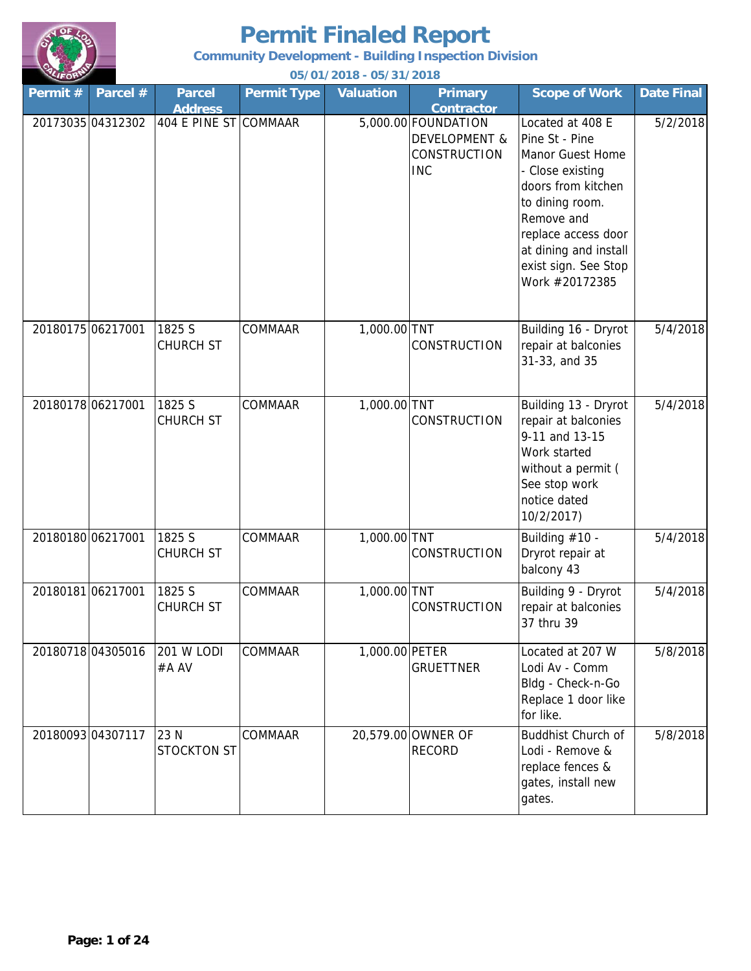

**Community Development - Building Inspection Division**

| Permit #          | Parcel #          | <b>Parcel</b><br><b>Address</b> | <b>Permit Type</b> | <b>Valuation</b> | <b>Primary</b><br><b>Contractor</b>                                           | <b>Scope of Work</b>                                                                                                                                                                                                        | <b>Date Final</b> |
|-------------------|-------------------|---------------------------------|--------------------|------------------|-------------------------------------------------------------------------------|-----------------------------------------------------------------------------------------------------------------------------------------------------------------------------------------------------------------------------|-------------------|
|                   | 20173035 04312302 | 404 E PINE ST COMMAAR           |                    |                  | 5,000.00 FOUNDATION<br><b>DEVELOPMENT &amp;</b><br>CONSTRUCTION<br><b>INC</b> | Located at 408 E<br>Pine St - Pine<br>Manor Guest Home<br>- Close existing<br>doors from kitchen<br>to dining room.<br>Remove and<br>replace access door<br>at dining and install<br>exist sign. See Stop<br>Work #20172385 | 5/2/2018          |
| 20180175 06217001 |                   | 1825 S<br><b>CHURCH ST</b>      | <b>COMMAAR</b>     | 1,000.00 TNT     | CONSTRUCTION                                                                  | Building 16 - Dryrot<br>repair at balconies<br>31-33, and 35                                                                                                                                                                | 5/4/2018          |
| 20180178 06217001 |                   | 1825 S<br><b>CHURCH ST</b>      | <b>COMMAAR</b>     | 1,000.00 TNT     | <b>CONSTRUCTION</b>                                                           | Building 13 - Dryrot<br>repair at balconies<br>9-11 and 13-15<br>Work started<br>without a permit (<br>See stop work<br>notice dated<br>10/2/2017)                                                                          | 5/4/2018          |
| 20180180 06217001 |                   | 1825 S<br>CHURCH ST             | COMMAAR            | 1,000.00 TNT     | <b>CONSTRUCTION</b>                                                           | Building #10 -<br>Dryrot repair at<br>balcony 43                                                                                                                                                                            | 5/4/2018          |
| 20180181 06217001 |                   | 1825 S<br><b>CHURCH ST</b>      | <b>COMMAAR</b>     | 1,000.00 TNT     | CONSTRUCTION                                                                  | Building 9 - Dryrot<br>repair at balconies<br>37 thru 39                                                                                                                                                                    | 5/4/2018          |
|                   | 20180718 04305016 | <b>201 W LODI</b><br>#A AV      | <b>COMMAAR</b>     | 1,000.00 PETER   | <b>GRUETTNER</b>                                                              | Located at 207 W<br>Lodi Av - Comm<br>Bldg - Check-n-Go<br>Replace 1 door like<br>for like.                                                                                                                                 | 5/8/2018          |
|                   | 2018009304307117  | 23 N<br><b>STOCKTON ST</b>      | COMMAAR            |                  | 20,579.00 OWNER OF<br><b>RECORD</b>                                           | <b>Buddhist Church of</b><br>Lodi - Remove &<br>replace fences &<br>gates, install new<br>gates.                                                                                                                            | 5/8/2018          |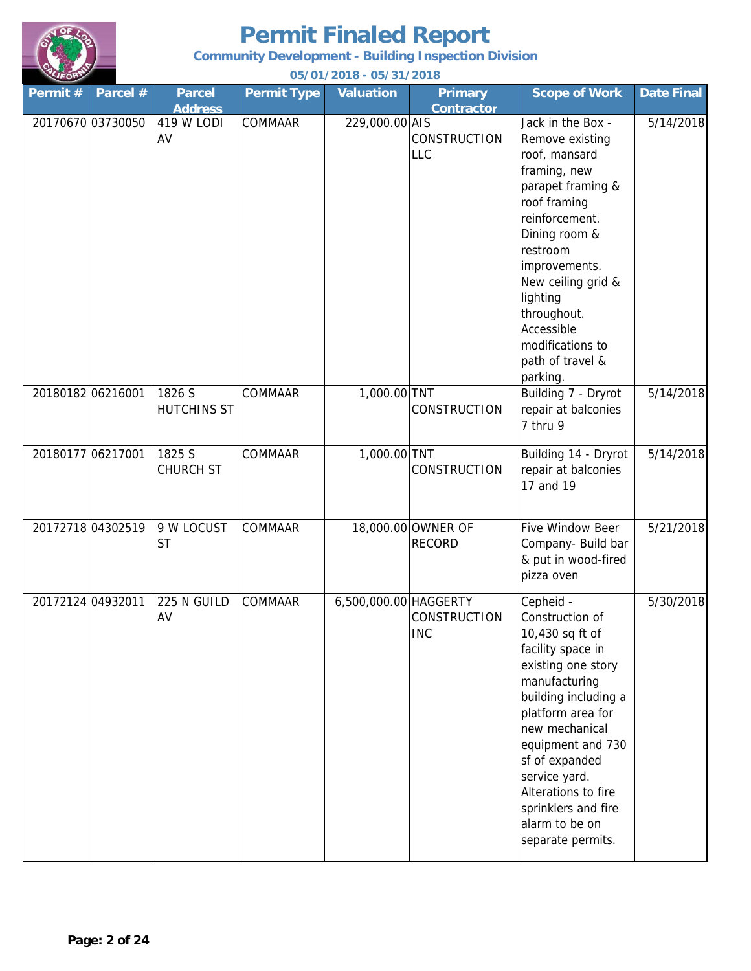

**Community Development - Building Inspection Division**

| Permit#           | Parcel # | <b>Parcel</b><br><b>Address</b> | <b>Permit Type</b> | <b>Valuation</b>      | <b>Primary</b><br><b>Contractor</b> | <b>Scope of Work</b>                                                                                                                                                                                                                                                                                                    | <b>Date Final</b> |
|-------------------|----------|---------------------------------|--------------------|-----------------------|-------------------------------------|-------------------------------------------------------------------------------------------------------------------------------------------------------------------------------------------------------------------------------------------------------------------------------------------------------------------------|-------------------|
| 20170670 03730050 |          | 419 W LODI<br>AV                | COMMAAR            | 229,000.00 AIS        | CONSTRUCTION<br>LLC                 | Jack in the Box -<br>Remove existing<br>roof, mansard<br>framing, new<br>parapet framing &<br>roof framing<br>reinforcement.<br>Dining room &<br>restroom<br>improvements.<br>New ceiling grid &<br>lighting<br>throughout.<br>Accessible<br>modifications to<br>path of travel &<br>parking.                           | 5/14/2018         |
| 20180182 06216001 |          | 1826 S<br><b>HUTCHINS ST</b>    | COMMAAR            | 1,000.00 TNT          | <b>CONSTRUCTION</b>                 | Building 7 - Dryrot<br>repair at balconies<br>7 thru 9                                                                                                                                                                                                                                                                  | 5/14/2018         |
| 20180177 06217001 |          | 1825 S<br><b>CHURCH ST</b>      | COMMAAR            | 1,000.00 TNT          | <b>CONSTRUCTION</b>                 | Building 14 - Dryrot<br>repair at balconies<br>17 and 19                                                                                                                                                                                                                                                                | 5/14/2018         |
| 20172718 04302519 |          | 9 W LOCUST<br><b>ST</b>         | COMMAAR            |                       | 18,000.00 OWNER OF<br><b>RECORD</b> | Five Window Beer<br>Company- Build bar<br>& put in wood-fired<br>pizza oven                                                                                                                                                                                                                                             | 5/21/2018         |
| 20172124 04932011 |          | 225 N GUILD<br>AV               | COMMAAR            | 6,500,000.00 HAGGERTY | <b>CONSTRUCTION</b><br><b>INC</b>   | Cepheid -<br>Construction of<br>10,430 sq ft of<br>facility space in<br>existing one story<br>manufacturing<br>building including a<br>platform area for<br>new mechanical<br>equipment and 730<br>sf of expanded<br>service yard.<br>Alterations to fire<br>sprinklers and fire<br>alarm to be on<br>separate permits. | 5/30/2018         |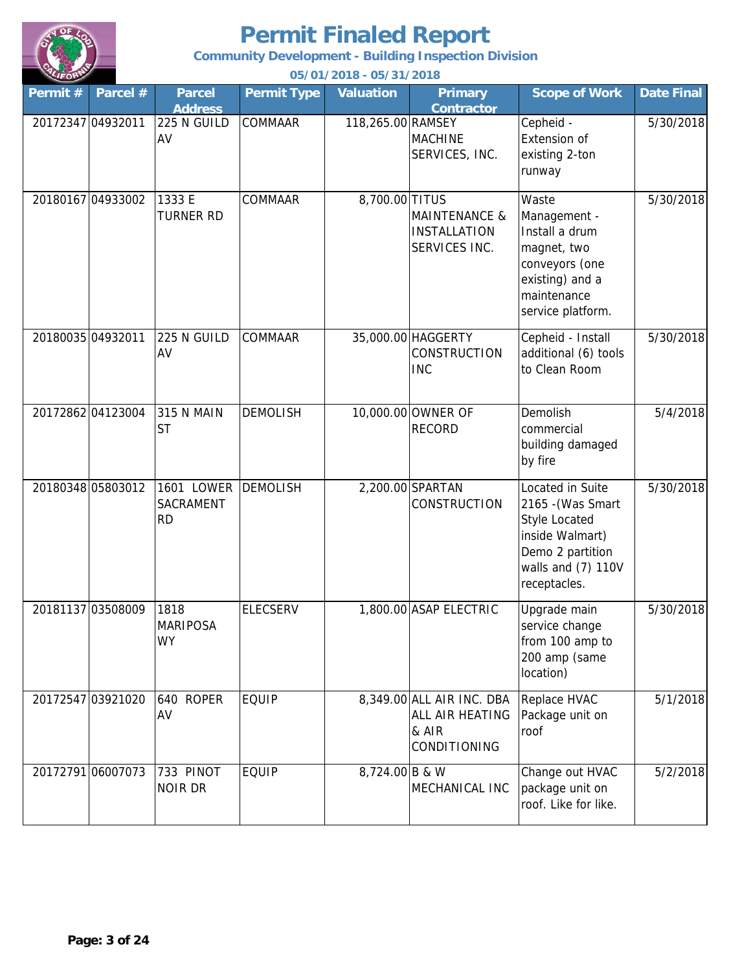

**Community Development - Building Inspection Division**

| Permit # | Parcel #          | <b>Parcel</b><br><b>Address</b>             | <b>Permit Type</b> | <b>Valuation</b>  | <b>Primary</b><br><b>Contractor</b>                                   | <b>Scope of Work</b>                                                                                                                       | <b>Date Final</b> |
|----------|-------------------|---------------------------------------------|--------------------|-------------------|-----------------------------------------------------------------------|--------------------------------------------------------------------------------------------------------------------------------------------|-------------------|
|          | 20172347 04932011 | 225 N GUILD<br>AV                           | <b>COMMAAR</b>     | 118,265.00 RAMSEY | <b>MACHINE</b><br>SERVICES, INC.                                      | Cepheid -<br>Extension of<br>existing 2-ton<br>runway                                                                                      | 5/30/2018         |
|          | 20180167 04933002 | 1333 E<br>TURNER RD                         | COMMAAR            | 8,700.00 TITUS    | <b>MAINTENANCE &amp;</b><br><b>INSTALLATION</b><br>SERVICES INC.      | Waste<br>Management -<br>Install a drum<br>magnet, two<br>conveyors (one<br>existing) and a<br>maintenance<br>service platform.            | 5/30/2018         |
|          | 20180035 04932011 | 225 N GUILD<br>AV                           | COMMAAR            |                   | 35,000.00 HAGGERTY<br><b>CONSTRUCTION</b><br><b>INC</b>               | Cepheid - Install<br>additional (6) tools<br>to Clean Room                                                                                 | 5/30/2018         |
|          | 20172862 04123004 | <b>315 N MAIN</b><br><b>ST</b>              | <b>DEMOLISH</b>    |                   | 10,000.00 OWNER OF<br><b>RECORD</b>                                   | Demolish<br>commercial<br>building damaged<br>by fire                                                                                      | 5/4/2018          |
|          | 20180348 05803012 | <b>1601 LOWER</b><br>SACRAMENT<br><b>RD</b> | <b>DEMOLISH</b>    |                   | 2,200.00 SPARTAN<br>CONSTRUCTION                                      | Located in Suite<br>2165 - (Was Smart<br><b>Style Located</b><br>inside Walmart)<br>Demo 2 partition<br>walls and (7) 110V<br>receptacles. | 5/30/2018         |
|          | 20181137 03508009 | 1818<br><b>MARIPOSA</b><br><b>WY</b>        | <b>ELECSERV</b>    |                   | 1,800.00 ASAP ELECTRIC                                                | Upgrade main<br>service change<br>from 100 amp to<br>200 amp (same<br>location)                                                            | 5/30/2018         |
|          | 20172547 03921020 | 640 ROPER<br>AV                             | <b>EQUIP</b>       |                   | 8,349.00 ALL AIR INC. DBA<br>ALL AIR HEATING<br>& AIR<br>CONDITIONING | Replace HVAC<br>Package unit on<br>roof                                                                                                    | 5/1/2018          |
|          | 20172791 06007073 | 733 PINOT<br>NOIR DR                        | <b>EQUIP</b>       | 8,724.00 B & W    | MECHANICAL INC                                                        | Change out HVAC<br>package unit on<br>roof. Like for like.                                                                                 | 5/2/2018          |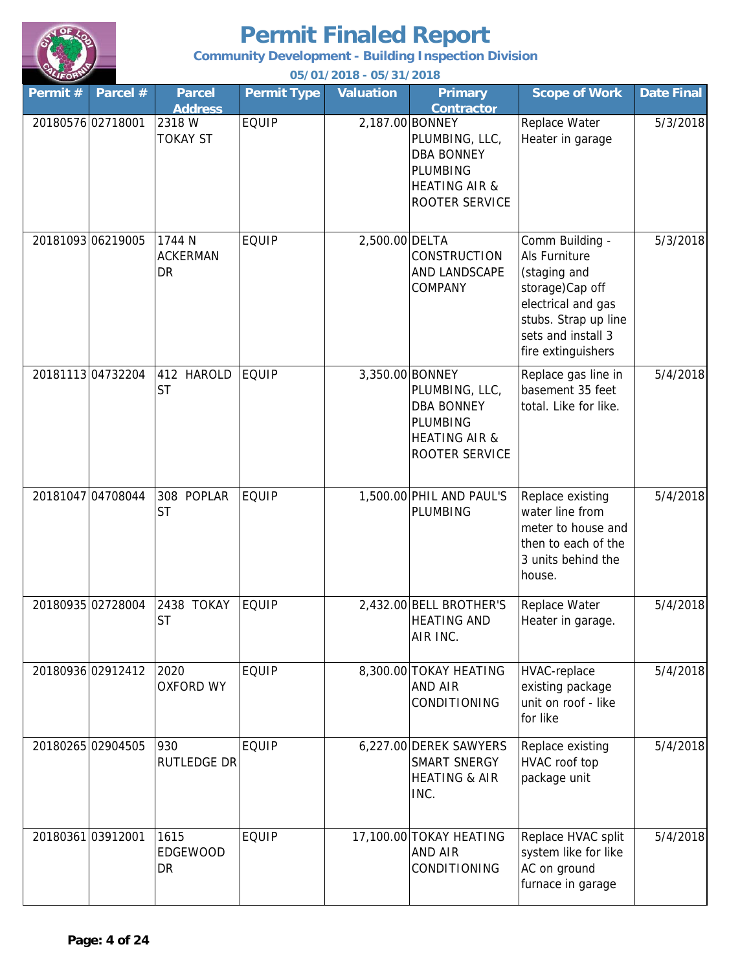

**Community Development - Building Inspection Division**

| Permit# | Parcel #          | <b>Parcel</b><br><b>Address</b> | <b>Permit Type</b> | Valuation      | <b>Primary</b><br><b>Contractor</b>                                                                                     | <b>Scope of Work</b>                                                                                                                                          | <b>Date Final</b> |
|---------|-------------------|---------------------------------|--------------------|----------------|-------------------------------------------------------------------------------------------------------------------------|---------------------------------------------------------------------------------------------------------------------------------------------------------------|-------------------|
|         | 20180576 02718001 | 2318 W<br><b>TOKAY ST</b>       | <b>EQUIP</b>       |                | 2,187.00 BONNEY<br>PLUMBING, LLC,<br><b>DBA BONNEY</b><br><b>PLUMBING</b><br><b>HEATING AIR &amp;</b><br>ROOTER SERVICE | Replace Water<br>Heater in garage                                                                                                                             | 5/3/2018          |
|         | 20181093 06219005 | 1744 N<br><b>ACKERMAN</b><br>DR | <b>EQUIP</b>       | 2,500.00 DELTA | <b>CONSTRUCTION</b><br>AND LANDSCAPE<br>COMPANY                                                                         | Comm Building -<br>Als Furniture<br>(staging and<br>storage)Cap off<br>electrical and gas<br>stubs. Strap up line<br>sets and install 3<br>fire extinguishers | 5/3/2018          |
|         | 20181113 04732204 | 412 HAROLD<br><b>ST</b>         | <b>EQUIP</b>       |                | 3,350.00 BONNEY<br>PLUMBING, LLC,<br><b>DBA BONNEY</b><br>PLUMBING<br><b>HEATING AIR &amp;</b><br>ROOTER SERVICE        | Replace gas line in<br>basement 35 feet<br>total. Like for like.                                                                                              | 5/4/2018          |
|         | 20181047 04708044 | 308 POPLAR<br><b>ST</b>         | <b>EQUIP</b>       |                | 1,500.00 PHIL AND PAUL'S<br>PLUMBING                                                                                    | Replace existing<br>water line from<br>meter to house and<br>then to each of the<br>3 units behind the<br>house.                                              | 5/4/2018          |
|         | 20180935 02728004 | 2438 TOKAY<br><b>ST</b>         | <b>EQUIP</b>       |                | 2,432.00 BELL BROTHER'S<br><b>HEATING AND</b><br>AIR INC.                                                               | Replace Water<br>Heater in garage.                                                                                                                            | 5/4/2018          |
|         | 20180936 02912412 | 2020<br><b>OXFORD WY</b>        | <b>EQUIP</b>       |                | 8,300.00 TOKAY HEATING<br><b>AND AIR</b><br><b>CONDITIONING</b>                                                         | HVAC-replace<br>existing package<br>unit on roof - like<br>for like                                                                                           | 5/4/2018          |
|         | 20180265 02904505 | 930<br><b>RUTLEDGE DR</b>       | <b>EQUIP</b>       |                | 6,227.00 DEREK SAWYERS<br>SMART SNERGY<br><b>HEATING &amp; AIR</b><br>INC.                                              | Replace existing<br>HVAC roof top<br>package unit                                                                                                             | 5/4/2018          |
|         | 20180361 03912001 | 1615<br><b>EDGEWOOD</b><br>DR   | <b>EQUIP</b>       |                | 17,100.00 TOKAY HEATING<br><b>AND AIR</b><br><b>CONDITIONING</b>                                                        | Replace HVAC split<br>system like for like<br>AC on ground<br>furnace in garage                                                                               | 5/4/2018          |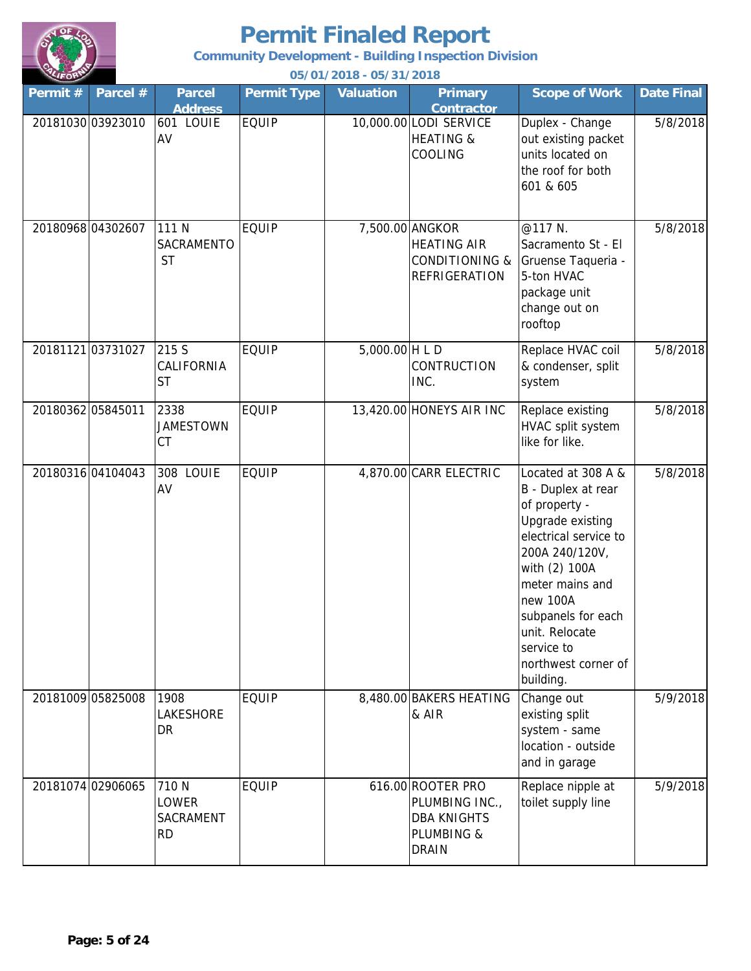

**Community Development - Building Inspection Division**

| Permit# | Parcel #          | <b>Parcel</b><br><b>Address</b>          | <b>Permit Type</b> | <b>Valuation</b> | <b>Primary</b><br><b>Contractor</b>                                                        | <b>Scope of Work</b>                                                                                                                                                                                                                                               | <b>Date Final</b> |
|---------|-------------------|------------------------------------------|--------------------|------------------|--------------------------------------------------------------------------------------------|--------------------------------------------------------------------------------------------------------------------------------------------------------------------------------------------------------------------------------------------------------------------|-------------------|
|         | 20181030 03923010 | 601 LOUIE<br>AV                          | <b>EQUIP</b>       |                  | 10,000.00 LODI SERVICE<br><b>HEATING &amp;</b><br>COOLING                                  | Duplex - Change<br>out existing packet<br>units located on<br>the roof for both<br>601 & 605                                                                                                                                                                       | 5/8/2018          |
|         | 20180968 04302607 | 111 N<br>SACRAMENTO<br><b>ST</b>         | <b>EQUIP</b>       |                  | 7,500.00 ANGKOR<br><b>HEATING AIR</b><br><b>CONDITIONING &amp;</b><br><b>REFRIGERATION</b> | @117 N.<br>Sacramento St - El<br>Gruense Taqueria -<br>5-ton HVAC<br>package unit<br>change out on<br>rooftop                                                                                                                                                      | 5/8/2018          |
|         | 20181121 03731027 | 215 S<br>CALIFORNIA<br><b>ST</b>         | <b>EQUIP</b>       | $5,000.00$ H L D | CONTRUCTION<br>INC.                                                                        | Replace HVAC coil<br>& condenser, split<br>system                                                                                                                                                                                                                  | 5/8/2018          |
|         | 20180362 05845011 | 2338<br><b>JAMESTOWN</b><br>СT           | <b>EQUIP</b>       |                  | 13,420.00 HONEYS AIR INC                                                                   | Replace existing<br>HVAC split system<br>like for like.                                                                                                                                                                                                            | 5/8/2018          |
|         | 20180316 04104043 | 308 LOUIE<br>AV                          | <b>EQUIP</b>       |                  | 4,870.00 CARR ELECTRIC                                                                     | Located at 308 A &<br>B - Duplex at rear<br>of property -<br>Upgrade existing<br>electrical service to<br>200A 240/120V,<br>with (2) 100A<br>meter mains and<br>new 100A<br>subpanels for each<br>unit. Relocate<br>service to<br>northwest corner of<br>building. | 5/8/2018          |
|         | 20181009 05825008 | 1908<br>LAKESHORE<br>DR                  | <b>EQUIP</b>       |                  | 8,480.00 BAKERS HEATING<br>& AIR                                                           | Change out<br>existing split<br>system - same<br>location - outside<br>and in garage                                                                                                                                                                               | 5/9/2018          |
|         | 20181074 02906065 | 710 N<br>LOWER<br>SACRAMENT<br><b>RD</b> | <b>EQUIP</b>       |                  | 616.00 ROOTER PRO<br>PLUMBING INC.,<br><b>DBA KNIGHTS</b><br>PLUMBING &<br><b>DRAIN</b>    | Replace nipple at<br>toilet supply line                                                                                                                                                                                                                            | 5/9/2018          |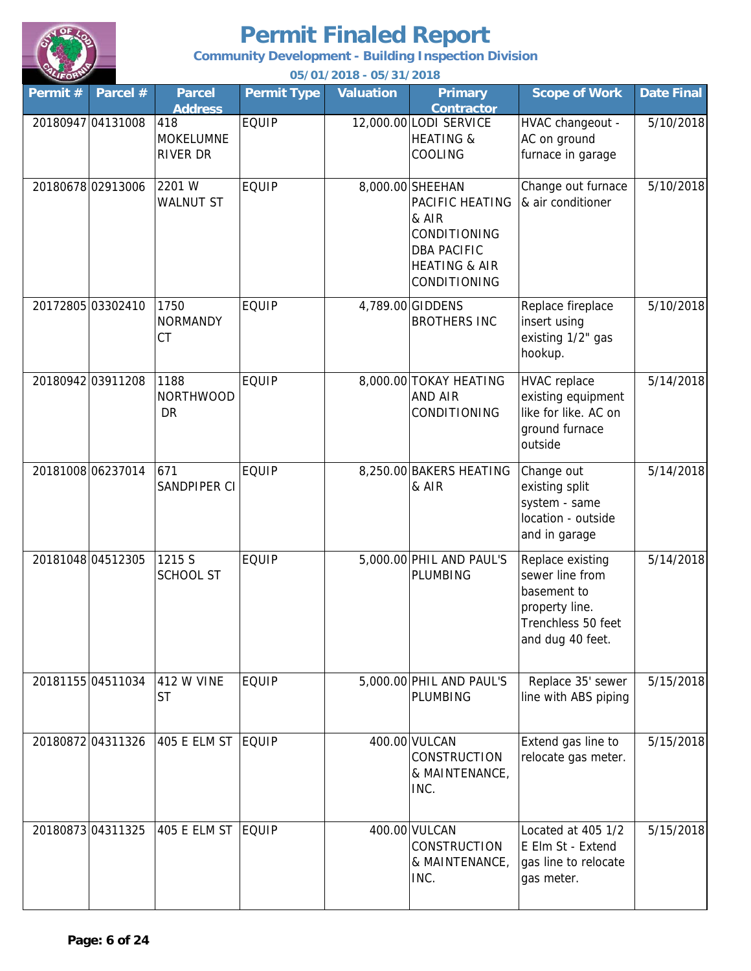

**Community Development - Building Inspection Division**

| Permit# | Parcel #          | <b>Parcel</b><br><b>Address</b>            | <b>Permit Type</b> | <b>Valuation</b> | <b>Primary</b><br><b>Contractor</b>                                                                                            | <b>Scope of Work</b>                                                                                           | <b>Date Final</b> |
|---------|-------------------|--------------------------------------------|--------------------|------------------|--------------------------------------------------------------------------------------------------------------------------------|----------------------------------------------------------------------------------------------------------------|-------------------|
|         | 20180947 04131008 | 418<br><b>MOKELUMNE</b><br><b>RIVER DR</b> | <b>EQUIP</b>       |                  | 12,000.00 LODI SERVICE<br><b>HEATING &amp;</b><br>COOLING                                                                      | HVAC changeout -<br>AC on ground<br>furnace in garage                                                          | 5/10/2018         |
|         | 20180678 02913006 | 2201 W<br><b>WALNUT ST</b>                 | <b>EQUIP</b>       |                  | 8,000.00 SHEEHAN<br>PACIFIC HEATING<br>& AIR<br>CONDITIONING<br><b>DBA PACIFIC</b><br><b>HEATING &amp; AIR</b><br>CONDITIONING | Change out furnace<br>& air conditioner                                                                        | 5/10/2018         |
|         | 20172805 03302410 | 1750<br><b>NORMANDY</b><br><b>CT</b>       | <b>EQUIP</b>       |                  | 4,789.00 GIDDENS<br><b>BROTHERS INC</b>                                                                                        | Replace fireplace<br>insert using<br>existing 1/2" gas<br>hookup.                                              | 5/10/2018         |
|         | 20180942 03911208 | 1188<br><b>NORTHWOOD</b><br><b>DR</b>      | <b>EQUIP</b>       |                  | 8,000.00 TOKAY HEATING<br>AND AIR<br>CONDITIONING                                                                              | <b>HVAC</b> replace<br>existing equipment<br>like for like. AC on<br>ground furnace<br>outside                 | 5/14/2018         |
|         | 20181008 06237014 | 671<br>SANDPIPER CI                        | <b>EQUIP</b>       |                  | 8,250.00 BAKERS HEATING<br>& AIR                                                                                               | Change out<br>existing split<br>system - same<br>location - outside<br>and in garage                           | 5/14/2018         |
|         | 20181048 04512305 | 1215 S<br><b>SCHOOL ST</b>                 | <b>EQUIP</b>       |                  | 5,000.00 PHIL AND PAUL'S<br>PLUMBING                                                                                           | Replace existing<br>sewer line from<br>basement to<br>property line.<br>Trenchless 50 feet<br>and dug 40 feet. | 5/14/2018         |
|         | 20181155 04511034 | <b>412 W VINE</b><br><b>ST</b>             | <b>EQUIP</b>       |                  | 5,000.00 PHIL AND PAUL'S<br><b>PLUMBING</b>                                                                                    | Replace 35' sewer<br>line with ABS piping                                                                      | 5/15/2018         |
|         | 20180872 04311326 | 405 E ELM ST EQUIP                         |                    |                  | 400.00 VULCAN<br><b>CONSTRUCTION</b><br>& MAINTENANCE,<br>INC.                                                                 | Extend gas line to<br>relocate gas meter.                                                                      | 5/15/2018         |
|         | 20180873 04311325 | <b>405 E ELM ST</b>                        | <b>EQUIP</b>       |                  | 400.00 VULCAN<br><b>CONSTRUCTION</b><br>& MAINTENANCE,<br>INC.                                                                 | Located at 405 1/2<br>E Elm St - Extend<br>gas line to relocate<br>gas meter.                                  | 5/15/2018         |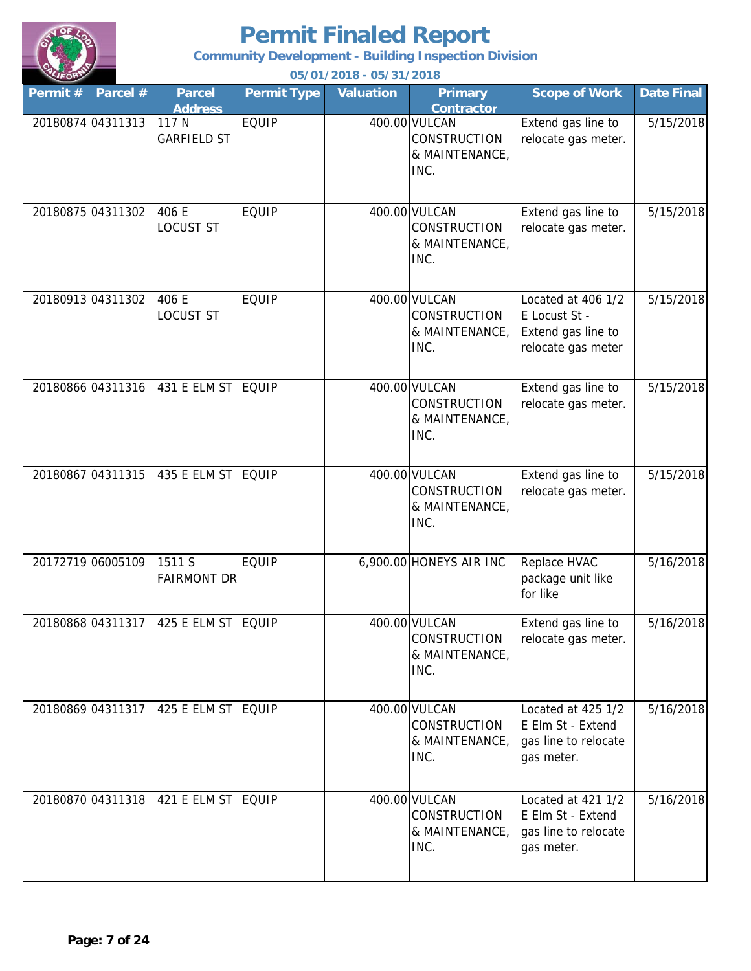

**Community Development - Building Inspection Division**

| Permit# | Parcel #          | <b>Parcel</b><br><b>Address</b> | <b>Permit Type</b> | <b>Valuation</b> | <b>Primary</b><br><b>Contractor</b>                            | <b>Scope of Work</b>                                                            | <b>Date Final</b> |
|---------|-------------------|---------------------------------|--------------------|------------------|----------------------------------------------------------------|---------------------------------------------------------------------------------|-------------------|
|         | 20180874 04311313 | 117 N<br><b>GARFIELD ST</b>     | <b>EQUIP</b>       |                  | 400.00 VULCAN<br><b>CONSTRUCTION</b><br>& MAINTENANCE,<br>INC. | Extend gas line to<br>relocate gas meter.                                       | 5/15/2018         |
|         | 20180875 04311302 | 406 E<br><b>LOCUST ST</b>       | <b>EQUIP</b>       |                  | 400.00 VULCAN<br><b>CONSTRUCTION</b><br>& MAINTENANCE,<br>INC. | Extend gas line to<br>relocate gas meter.                                       | 5/15/2018         |
|         | 20180913 04311302 | 406 E<br><b>LOCUST ST</b>       | <b>EQUIP</b>       |                  | 400.00 VULCAN<br><b>CONSTRUCTION</b><br>& MAINTENANCE,<br>INC. | Located at 406 1/2<br>E Locust St -<br>Extend gas line to<br>relocate gas meter | 5/15/2018         |
|         | 20180866 04311316 | 431 E ELM ST                    | <b>EQUIP</b>       |                  | 400.00 VULCAN<br><b>CONSTRUCTION</b><br>& MAINTENANCE,<br>INC. | Extend gas line to<br>relocate gas meter.                                       | 5/15/2018         |
|         | 20180867 04311315 | 435 E ELM ST                    | <b>EQUIP</b>       |                  | 400.00 VULCAN<br>CONSTRUCTION<br>& MAINTENANCE,<br>INC.        | Extend gas line to<br>relocate gas meter.                                       | 5/15/2018         |
|         | 20172719 06005109 | 1511 S<br><b>FAIRMONT DR</b>    | <b>EQUIP</b>       |                  | 6,900.00 HONEYS AIR INC                                        | Replace HVAC<br>package unit like<br>for like                                   | 5/16/2018         |
|         | 2018086804311317  | 425 E ELM ST EQUIP              |                    |                  | 400.00 VULCAN<br><b>CONSTRUCTION</b><br>& MAINTENANCE,<br>INC. | Extend gas line to<br>relocate gas meter.                                       | 5/16/2018         |
|         | 20180869 04311317 | 425 E ELM ST   EQUIP            |                    |                  | 400.00 VULCAN<br><b>CONSTRUCTION</b><br>& MAINTENANCE,<br>INC. | Located at 425 1/2<br>E Elm St - Extend<br>gas line to relocate<br>gas meter.   | 5/16/2018         |
|         | 20180870 04311318 | 421 E ELM ST                    | EQUIP              |                  | 400.00 VULCAN<br><b>CONSTRUCTION</b><br>& MAINTENANCE,<br>INC. | Located at 421 1/2<br>E Elm St - Extend<br>gas line to relocate<br>gas meter.   | 5/16/2018         |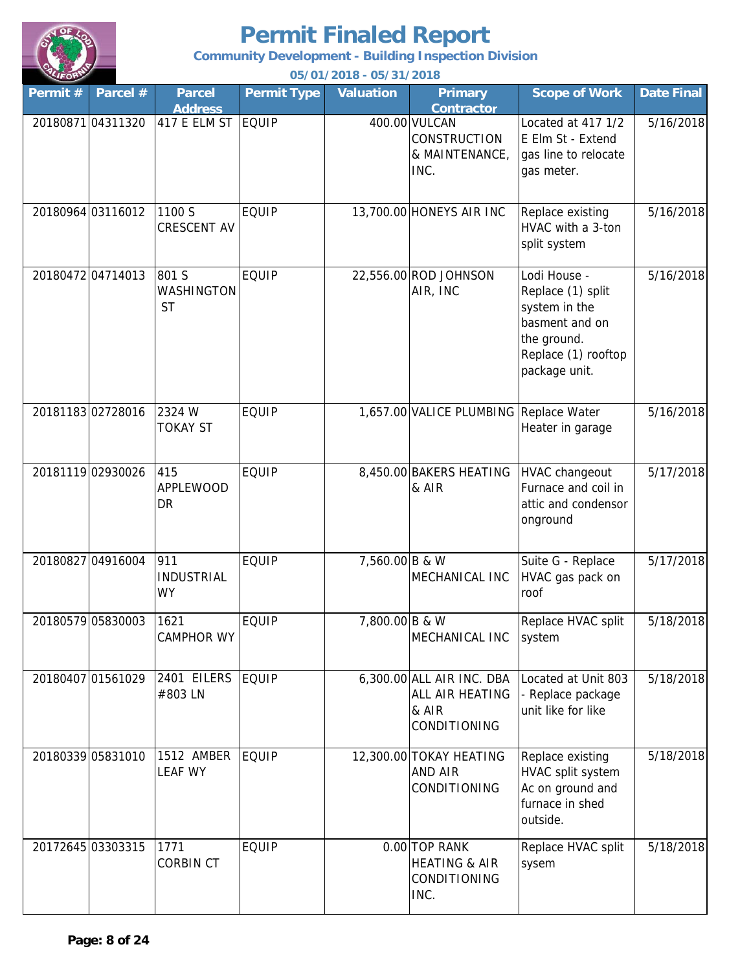

**Community Development - Building Inspection Division**

| Permit# | Parcel #          | <b>Parcel</b><br><b>Address</b>       | <b>Permit Type</b> | <b>Valuation</b> | <b>Primary</b><br><b>Contractor</b>                                          | <b>Scope of Work</b>                                                                                                        | <b>Date Final</b> |
|---------|-------------------|---------------------------------------|--------------------|------------------|------------------------------------------------------------------------------|-----------------------------------------------------------------------------------------------------------------------------|-------------------|
|         | 20180871 04311320 | 417 E ELM ST                          | <b>EQUIP</b>       |                  | 400.00 VULCAN<br><b>CONSTRUCTION</b><br>& MAINTENANCE,<br>INC.               | Located at 417 1/2<br>E Elm St - Extend<br>gas line to relocate<br>gas meter.                                               | 5/16/2018         |
|         | 20180964 03116012 | 1100 S<br><b>CRESCENT AV</b>          | <b>EQUIP</b>       |                  | 13,700.00 HONEYS AIR INC                                                     | Replace existing<br>HVAC with a 3-ton<br>split system                                                                       | 5/16/2018         |
|         | 2018047204714013  | 801 S<br>WASHINGTON<br><b>ST</b>      | <b>EQUIP</b>       |                  | 22,556.00 ROD JOHNSON<br>AIR, INC                                            | Lodi House -<br>Replace (1) split<br>system in the<br>basment and on<br>the ground.<br>Replace (1) rooftop<br>package unit. | 5/16/2018         |
|         | 20181183 02728016 | 2324 W<br><b>TOKAY ST</b>             | <b>EQUIP</b>       |                  | 1,657.00 VALICE PLUMBING Replace Water                                       | Heater in garage                                                                                                            | 5/16/2018         |
|         | 20181119 02930026 | 415<br><b>APPLEWOOD</b><br>DR         | <b>EQUIP</b>       |                  | 8,450.00 BAKERS HEATING<br>& AIR                                             | HVAC changeout<br>Furnace and coil in<br>attic and condensor<br>onground                                                    | 5/17/2018         |
|         | 20180827 04916004 | 911<br><b>INDUSTRIAL</b><br><b>WY</b> | <b>EQUIP</b>       | 7,560.00 B & W   | MECHANICAL INC                                                               | Suite G - Replace<br>HVAC gas pack on<br>roof                                                                               | 5/17/2018         |
|         | 20180579 05830003 | 1621<br>CAMPHOR WY                    | <b>EQUIP</b>       | 7,800.00 B & W   | MECHANICAL INC                                                               | Replace HVAC split<br>system                                                                                                | 5/18/2018         |
|         | 20180407 01561029 | 2401 EILERS<br>#803 LN                | <b>EQUIP</b>       |                  | 6,300.00 ALL AIR INC. DBA<br>ALL AIR HEATING<br>& AIR<br><b>CONDITIONING</b> | Located at Unit 803<br>- Replace package<br>unit like for like                                                              | 5/18/2018         |
|         | 20180339 05831010 | 1512 AMBER<br><b>LEAF WY</b>          | <b>EQUIP</b>       |                  | 12,300.00 TOKAY HEATING<br><b>AND AIR</b><br><b>CONDITIONING</b>             | Replace existing<br>HVAC split system<br>Ac on ground and<br>furnace in shed<br>outside.                                    | 5/18/2018         |
|         | 20172645 03303315 | 1771<br><b>CORBIN CT</b>              | <b>EQUIP</b>       |                  | 0.00 TOP RANK<br><b>HEATING &amp; AIR</b><br>CONDITIONING<br>INC.            | Replace HVAC split<br>sysem                                                                                                 | 5/18/2018         |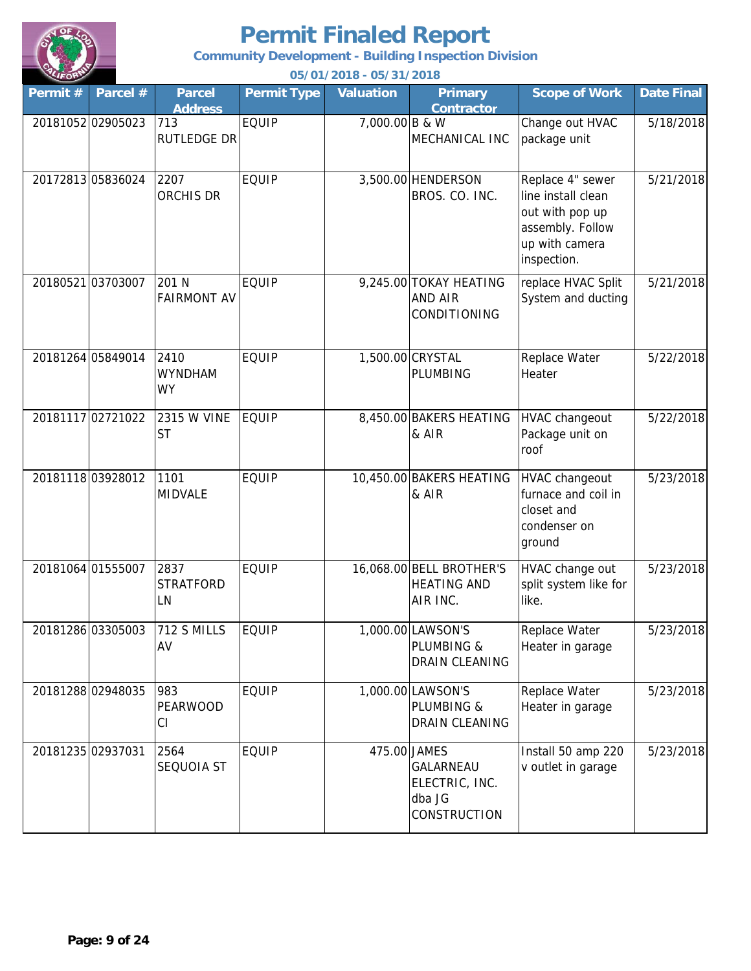

**Community Development - Building Inspection Division**

| Permit# | Parcel #          | <b>Parcel</b><br><b>Address</b>     | <b>Permit Type</b> | <b>Valuation</b> | <b>Primary</b><br><b>Contractor</b>                                          | <b>Scope of Work</b>                                                                                           | <b>Date Final</b> |
|---------|-------------------|-------------------------------------|--------------------|------------------|------------------------------------------------------------------------------|----------------------------------------------------------------------------------------------------------------|-------------------|
|         | 20181052 02905023 | 713<br>RUTLEDGE DR                  | <b>EQUIP</b>       | 7,000.00 B & W   | MECHANICAL INC                                                               | Change out HVAC<br>package unit                                                                                | 5/18/2018         |
|         | 20172813 05836024 | 2207<br>ORCHIS DR                   | <b>EQUIP</b>       |                  | 3,500.00 HENDERSON<br>BROS. CO. INC.                                         | Replace 4" sewer<br>line install clean<br>out with pop up<br>assembly. Follow<br>up with camera<br>inspection. | 5/21/2018         |
|         | 20180521 03703007 | 201 N<br><b>FAIRMONT AV</b>         | <b>EQUIP</b>       |                  | 9,245.00 TOKAY HEATING<br><b>AND AIR</b><br>CONDITIONING                     | replace HVAC Split<br>System and ducting                                                                       | 5/21/2018         |
|         | 20181264 05849014 | 2410<br><b>WYNDHAM</b><br><b>WY</b> | <b>EQUIP</b>       |                  | 1,500.00 CRYSTAL<br>PLUMBING                                                 | Replace Water<br>Heater                                                                                        | 5/22/2018         |
|         | 20181117 02721022 | <b>2315 W VINE</b><br><b>ST</b>     | <b>EQUIP</b>       |                  | 8,450.00 BAKERS HEATING<br>& AIR                                             | <b>HVAC changeout</b><br>Package unit on<br>roof                                                               | 5/22/2018         |
|         | 2018111803928012  | 1101<br>MIDVALE                     | <b>EQUIP</b>       |                  | 10,450.00 BAKERS HEATING<br>& AIR                                            | <b>HVAC changeout</b><br>furnace and coil in<br>closet and<br>condenser on<br>ground                           | 5/23/2018         |
|         | 20181064 01555007 | 2837<br><b>STRATFORD</b><br>LN      | <b>EQUIP</b>       |                  | 16,068.00 BELL BROTHER'S<br><b>HEATING AND</b><br>AIR INC.                   | HVAC change out<br>split system like for<br>like.                                                              | 5/23/2018         |
|         | 20181286 03305003 | 712 S MILLS<br>AV                   | <b>EQUIP</b>       |                  | 1,000.00 LAWSON'S<br><b>PLUMBING &amp;</b><br>DRAIN CLEANING                 | Replace Water<br>Heater in garage                                                                              | 5/23/2018         |
|         | 2018128802948035  | 983<br><b>PEARWOOD</b><br>СI        | <b>EQUIP</b>       |                  | 1,000.00 LAWSON'S<br>PLUMBING &<br><b>DRAIN CLEANING</b>                     | Replace Water<br>Heater in garage                                                                              | 5/23/2018         |
|         | 20181235 02937031 | 2564<br>SEQUOIA ST                  | <b>EQUIP</b>       |                  | 475.00 JAMES<br>GALARNEAU<br>ELECTRIC, INC.<br>dba JG<br><b>CONSTRUCTION</b> | Install 50 amp 220<br>v outlet in garage                                                                       | 5/23/2018         |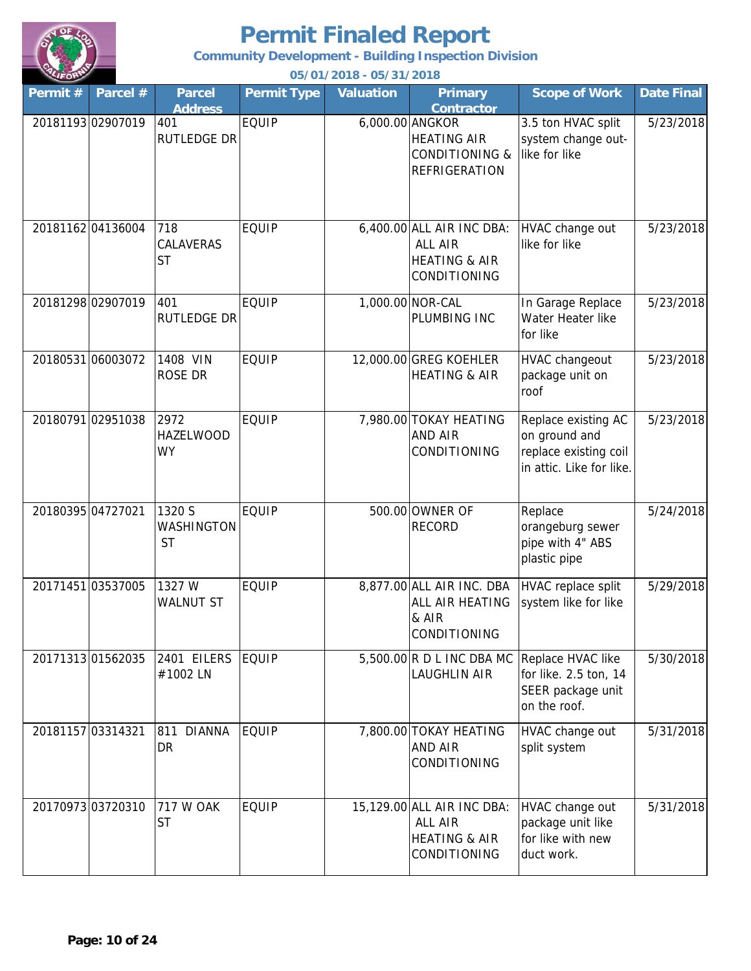

**Community Development - Building Inspection Division**

| Permit# | Parcel #          | <b>Parcel</b><br><b>Address</b>       | <b>Permit Type</b> | <b>Valuation</b> | <b>Primary</b><br><b>Contractor</b>                                                 | <b>Scope of Work</b>                                                                      | <b>Date Final</b> |
|---------|-------------------|---------------------------------------|--------------------|------------------|-------------------------------------------------------------------------------------|-------------------------------------------------------------------------------------------|-------------------|
|         | 20181193 02907019 | 401<br>RUTLEDGE DR                    | <b>EQUIP</b>       |                  | 6,000.00 ANGKOR<br><b>HEATING AIR</b><br><b>CONDITIONING &amp;</b><br>REFRIGERATION | 3.5 ton HVAC split<br>system change out-<br>like for like                                 | 5/23/2018         |
|         | 20181162 04136004 | 718<br>CALAVERAS<br><b>ST</b>         | <b>EQUIP</b>       |                  | 6,400.00 ALL AIR INC DBA:<br>ALL AIR<br><b>HEATING &amp; AIR</b><br>CONDITIONING    | HVAC change out<br>like for like                                                          | 5/23/2018         |
|         | 20181298 02907019 | 401<br>RUTLEDGE DR                    | <b>EQUIP</b>       |                  | 1,000.00 NOR-CAL<br>PLUMBING INC                                                    | In Garage Replace<br>Water Heater like<br>for like                                        | 5/23/2018         |
|         | 20180531 06003072 | 1408 VIN<br>ROSE DR                   | <b>EQUIP</b>       |                  | 12,000.00 GREG KOEHLER<br><b>HEATING &amp; AIR</b>                                  | HVAC changeout<br>package unit on<br>roof                                                 | 5/23/2018         |
|         | 20180791 02951038 | 2972<br><b>HAZELWOOD</b><br><b>WY</b> | <b>EQUIP</b>       |                  | 7,980.00 TOKAY HEATING<br><b>AND AIR</b><br>CONDITIONING                            | Replace existing AC<br>on ground and<br>replace existing coil<br>in attic. Like for like. | 5/23/2018         |
|         | 20180395 04727021 | 1320 S<br>WASHINGTON<br><b>ST</b>     | <b>EQUIP</b>       |                  | 500.00 OWNER OF<br><b>RECORD</b>                                                    | Replace<br>orangeburg sewer<br>pipe with 4" ABS<br>plastic pipe                           | 5/24/2018         |
|         | 20171451 03537005 | 1327 W<br><b>WALNUT ST</b>            | <b>EQUIP</b>       |                  | 8,877.00 ALL AIR INC. DBA<br>ALL AIR HEATING<br>& AIR<br><b>CONDITIONING</b>        | HVAC replace split<br>system like for like                                                | 5/29/2018         |
|         | 20171313 01562035 | 2401 EILERS<br>#1002 LN               | <b>EQUIP</b>       |                  | $5,500.00$ R D L INC DBA MC<br><b>LAUGHLIN AIR</b>                                  | Replace HVAC like<br>for like. 2.5 ton, 14<br>SEER package unit<br>on the roof.           | 5/30/2018         |
|         | 20181157 03314321 | 811<br><b>DIANNA</b><br>DR            | <b>EQUIP</b>       |                  | 7,800.00 TOKAY HEATING<br><b>AND AIR</b><br>CONDITIONING                            | HVAC change out<br>split system                                                           | 5/31/2018         |
|         | 20170973 03720310 | <b>717 W OAK</b><br><b>ST</b>         | <b>EQUIP</b>       |                  | 15,129.00 ALL AIR INC DBA:<br>ALL AIR<br><b>HEATING &amp; AIR</b><br>CONDITIONING   | HVAC change out<br>package unit like<br>for like with new<br>duct work.                   | 5/31/2018         |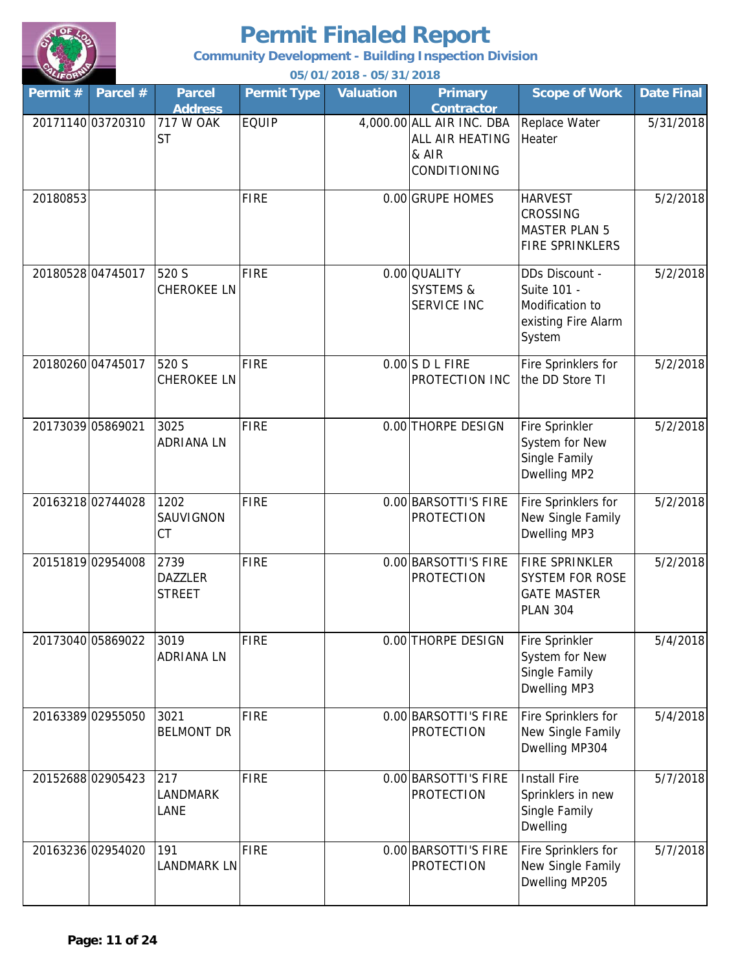

**Community Development - Building Inspection Division**

| Permit#  | Parcel #          | <b>Parcel</b><br><b>Address</b>         | <b>Permit Type</b> | <b>Valuation</b> | <b>Primary</b><br><b>Contractor</b>                                          | <b>Scope of Work</b>                                                                     | <b>Date Final</b> |
|----------|-------------------|-----------------------------------------|--------------------|------------------|------------------------------------------------------------------------------|------------------------------------------------------------------------------------------|-------------------|
|          | 20171140 03720310 | 717 W OAK<br><b>ST</b>                  | <b>EQUIP</b>       |                  | 4,000.00 ALL AIR INC. DBA<br>ALL AIR HEATING<br>& AIR<br><b>CONDITIONING</b> | Replace Water<br>Heater                                                                  | 5/31/2018         |
| 20180853 |                   |                                         | <b>FIRE</b>        |                  | 0.00 GRUPE HOMES                                                             | <b>HARVEST</b><br><b>CROSSING</b><br><b>MASTER PLAN 5</b><br><b>FIRE SPRINKLERS</b>      | 5/2/2018          |
|          | 20180528 04745017 | 520 S<br><b>CHEROKEE LN</b>             | FIRE               |                  | 0.00 QUALITY<br><b>SYSTEMS &amp;</b><br><b>SERVICE INC</b>                   | DDs Discount -<br>Suite 101 -<br>Modification to<br>existing Fire Alarm<br>System        | 5/2/2018          |
|          | 20180260 04745017 | 520 S<br>CHEROKEE LN                    | FIRE               |                  | $0.00$ SDLFIRE<br>PROTECTION INC                                             | Fire Sprinklers for<br>the DD Store TI                                                   | 5/2/2018          |
|          | 20173039 05869021 | 3025<br><b>ADRIANALN</b>                | FIRE               |                  | 0.00 THORPE DESIGN                                                           | Fire Sprinkler<br>System for New<br>Single Family<br>Dwelling MP2                        | 5/2/2018          |
|          | 20163218 02744028 | 1202<br>SAUVIGNON<br><b>CT</b>          | FIRE               |                  | 0.00 BARSOTTI'S FIRE<br>PROTECTION                                           | Fire Sprinklers for<br>New Single Family<br>Dwelling MP3                                 | 5/2/2018          |
|          | 20151819 02954008 | 2739<br><b>DAZZLER</b><br><b>STREET</b> | <b>FIRE</b>        |                  | 0.00 BARSOTTI'S FIRE<br><b>PROTECTION</b>                                    | <b>FIRE SPRINKLER</b><br><b>SYSTEM FOR ROSE</b><br><b>GATE MASTER</b><br><b>PLAN 304</b> | 5/2/2018          |
|          | 20173040 05869022 | 3019<br><b>ADRIANA LN</b>               | <b>FIRE</b>        |                  | 0.00 THORPE DESIGN                                                           | Fire Sprinkler<br>System for New<br>Single Family<br>Dwelling MP3                        | 5/4/2018          |
|          | 20163389 02955050 | 3021<br><b>BELMONT DR</b>               | FIRE               |                  | 0.00 BARSOTTI'S FIRE<br><b>PROTECTION</b>                                    | Fire Sprinklers for<br>New Single Family<br>Dwelling MP304                               | 5/4/2018          |
|          | 2015268802905423  | 217<br><b>LANDMARK</b><br>LANE          | <b>FIRE</b>        |                  | 0.00 BARSOTTI'S FIRE<br><b>PROTECTION</b>                                    | <b>Install Fire</b><br>Sprinklers in new<br>Single Family<br>Dwelling                    | 5/7/2018          |
|          | 20163236 02954020 | 191<br><b>LANDMARK LN</b>               | <b>FIRE</b>        |                  | 0.00 BARSOTTI'S FIRE<br><b>PROTECTION</b>                                    | Fire Sprinklers for<br>New Single Family<br>Dwelling MP205                               | 5/7/2018          |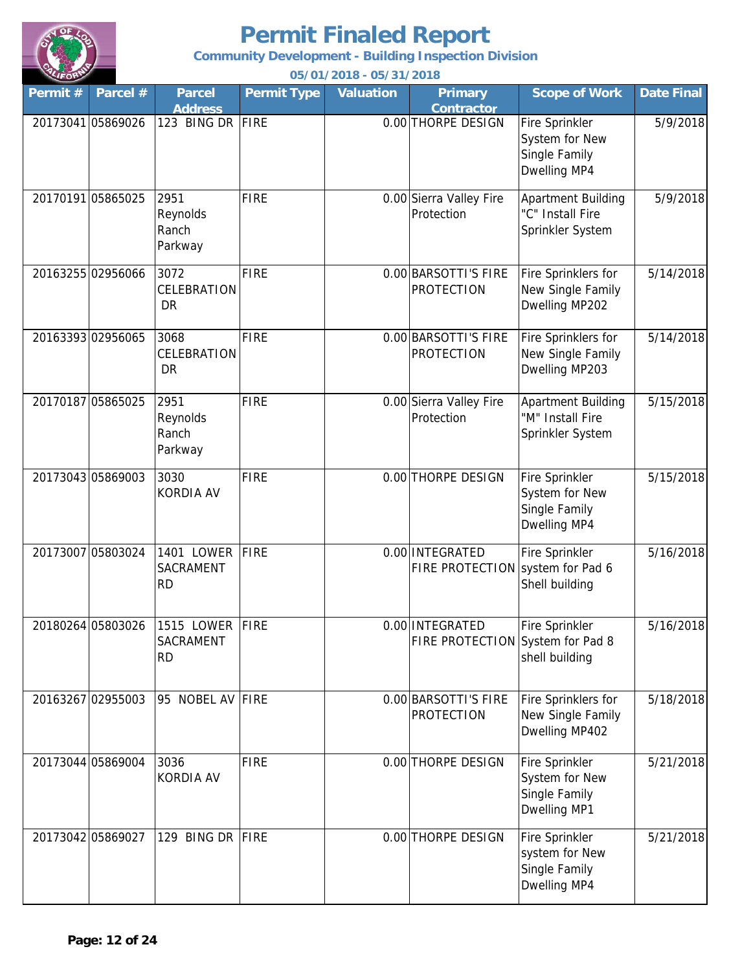

**Community Development - Building Inspection Division**

| Permit# | Parcel #          | <b>Parcel</b><br><b>Address</b>           | <b>Permit Type</b> | Valuation | <b>Primary</b><br><b>Contractor</b>                 | <b>Scope of Work</b>                                                     | <b>Date Final</b> |
|---------|-------------------|-------------------------------------------|--------------------|-----------|-----------------------------------------------------|--------------------------------------------------------------------------|-------------------|
|         | 20173041 05869026 | 123 BING DR FIRE                          |                    |           | 0.00 THORPE DESIGN                                  | <b>Fire Sprinkler</b><br>System for New<br>Single Family<br>Dwelling MP4 | 5/9/2018          |
|         | 20170191 05865025 | 2951<br>Reynolds<br>Ranch<br>Parkway      | <b>FIRE</b>        |           | 0.00 Sierra Valley Fire<br>Protection               | <b>Apartment Building</b><br>"C" Install Fire<br>Sprinkler System        | 5/9/2018          |
|         | 20163255 02956066 | 3072<br>CELEBRATION<br><b>DR</b>          | FIRE               |           | 0.00 BARSOTTI'S FIRE<br><b>PROTECTION</b>           | Fire Sprinklers for<br>New Single Family<br>Dwelling MP202               | 5/14/2018         |
|         | 20163393 02956065 | 3068<br>CELEBRATION<br><b>DR</b>          | <b>FIRE</b>        |           | 0.00 BARSOTTI'S FIRE<br><b>PROTECTION</b>           | Fire Sprinklers for<br>New Single Family<br>Dwelling MP203               | 5/14/2018         |
|         | 20170187 05865025 | 2951<br>Reynolds<br>Ranch<br>Parkway      | <b>FIRE</b>        |           | 0.00 Sierra Valley Fire<br>Protection               | <b>Apartment Building</b><br>"M" Install Fire<br>Sprinkler System        | 5/15/2018         |
|         | 20173043 05869003 | 3030<br><b>KORDIA AV</b>                  | <b>FIRE</b>        |           | 0.00 THORPE DESIGN                                  | Fire Sprinkler<br>System for New<br>Single Family<br>Dwelling MP4        | 5/15/2018         |
|         | 20173007 05803024 | 1401 LOWER FIRE<br>SACRAMENT<br><b>RD</b> |                    |           | 0.00 INTEGRATED<br>FIRE PROTECTION system for Pad 6 | <b>Fire Sprinkler</b><br>Shell building                                  | 5/16/2018         |
|         | 20180264 05803026 | 1515 LOWER FIRE<br>SACRAMENT<br><b>RD</b> |                    |           | 0.00 INTEGRATED<br>FIRE PROTECTION System for Pad 8 | <b>Fire Sprinkler</b><br>shell building                                  | 5/16/2018         |
|         | 20163267 02955003 | 95 NOBEL AV FIRE                          |                    |           | 0.00 BARSOTTI'S FIRE<br><b>PROTECTION</b>           | Fire Sprinklers for<br>New Single Family<br>Dwelling MP402               | 5/18/2018         |
|         | 20173044 05869004 | 3036<br><b>KORDIA AV</b>                  | FIRE               |           | 0.00 THORPE DESIGN                                  | Fire Sprinkler<br>System for New<br>Single Family<br>Dwelling MP1        | 5/21/2018         |
|         | 20173042 05869027 | 129 BING DR FIRE                          |                    |           | 0.00 THORPE DESIGN                                  | Fire Sprinkler<br>system for New<br>Single Family<br>Dwelling MP4        | 5/21/2018         |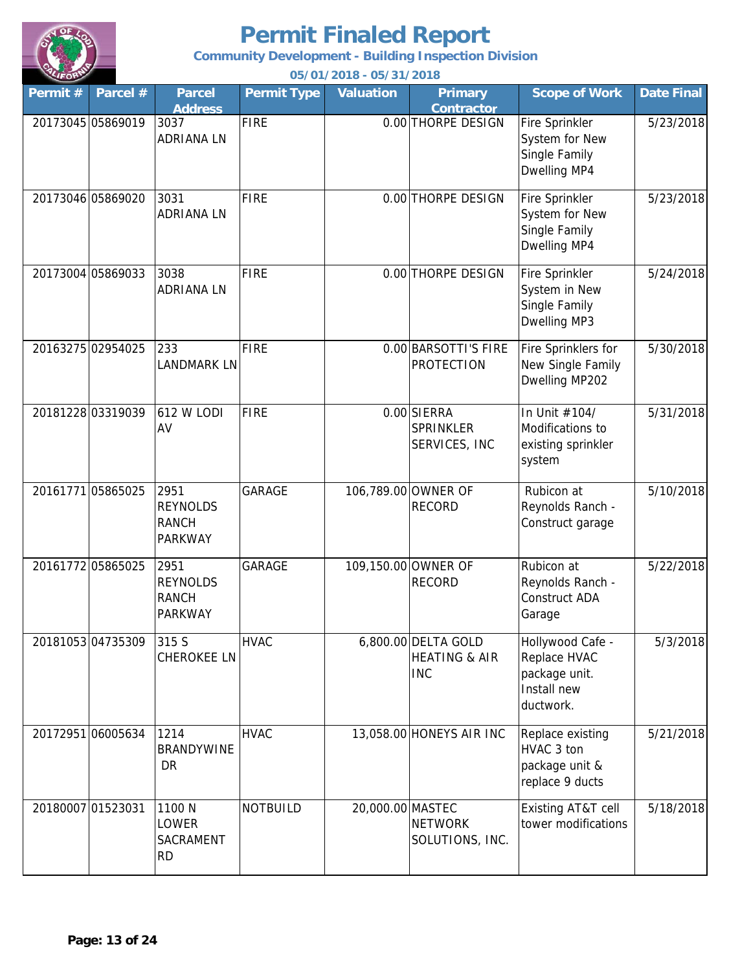

**Community Development - Building Inspection Division**

| Permit # | Parcel #          | <b>Parcel</b><br><b>Address</b>                           | <b>Permit Type</b> | <b>Valuation</b> | <b>Primary</b><br><b>Contractor</b>                           | <b>Scope of Work</b>                                                          | <b>Date Final</b> |
|----------|-------------------|-----------------------------------------------------------|--------------------|------------------|---------------------------------------------------------------|-------------------------------------------------------------------------------|-------------------|
|          | 20173045 05869019 | 3037<br><b>ADRIANA LN</b>                                 | <b>FIRE</b>        |                  | 0.00 THORPE DESIGN                                            | Fire Sprinkler<br>System for New<br>Single Family<br>Dwelling MP4             | 5/23/2018         |
|          | 20173046 05869020 | 3031<br><b>ADRIANA LN</b>                                 | <b>FIRE</b>        |                  | 0.00 THORPE DESIGN                                            | Fire Sprinkler<br>System for New<br>Single Family<br>Dwelling MP4             | 5/23/2018         |
|          | 20173004 05869033 | 3038<br><b>ADRIANA LN</b>                                 | FIRE               |                  | 0.00 THORPE DESIGN                                            | Fire Sprinkler<br>System in New<br>Single Family<br>Dwelling MP3              | 5/24/2018         |
|          | 20163275 02954025 | 233<br><b>LANDMARK LN</b>                                 | <b>FIRE</b>        |                  | 0.00 BARSOTTI'S FIRE<br><b>PROTECTION</b>                     | Fire Sprinklers for<br>New Single Family<br>Dwelling MP202                    | 5/30/2018         |
|          | 20181228 03319039 | 612 W LODI<br>AV                                          | FIRE               |                  | 0.00 SIERRA<br><b>SPRINKLER</b><br>SERVICES, INC              | In Unit #104/<br>Modifications to<br>existing sprinkler<br>system             | 5/31/2018         |
|          | 20161771 05865025 | 2951<br><b>REYNOLDS</b><br><b>RANCH</b><br><b>PARKWAY</b> | <b>GARAGE</b>      |                  | 106,789.00 OWNER OF<br><b>RECORD</b>                          | Rubicon at<br>Reynolds Ranch -<br>Construct garage                            | 5/10/2018         |
|          | 20161772 05865025 | 2951<br><b>REYNOLDS</b><br><b>RANCH</b><br><b>PARKWAY</b> | <b>GARAGE</b>      |                  | 109,150.00 OWNER OF<br><b>RECORD</b>                          | Rubicon at<br>Reynolds Ranch -<br>Construct ADA<br>Garage                     | 5/22/2018         |
|          | 20181053 04735309 | 315 S<br><b>CHEROKEE LN</b>                               | <b>HVAC</b>        |                  | 6,800.00 DELTA GOLD<br><b>HEATING &amp; AIR</b><br><b>INC</b> | Hollywood Cafe -<br>Replace HVAC<br>package unit.<br>Install new<br>ductwork. | 5/3/2018          |
|          | 20172951 06005634 | 1214<br><b>BRANDYWINE</b><br>DR                           | <b>HVAC</b>        |                  | 13,058.00 HONEYS AIR INC                                      | Replace existing<br>HVAC 3 ton<br>package unit &<br>replace 9 ducts           | 5/21/2018         |
|          | 20180007 01523031 | 1100 N<br>LOWER<br>SACRAMENT<br><b>RD</b>                 | <b>NOTBUILD</b>    | 20,000.00 MASTEC | <b>NETWORK</b><br>SOLUTIONS, INC.                             | Existing AT&T cell<br>tower modifications                                     | 5/18/2018         |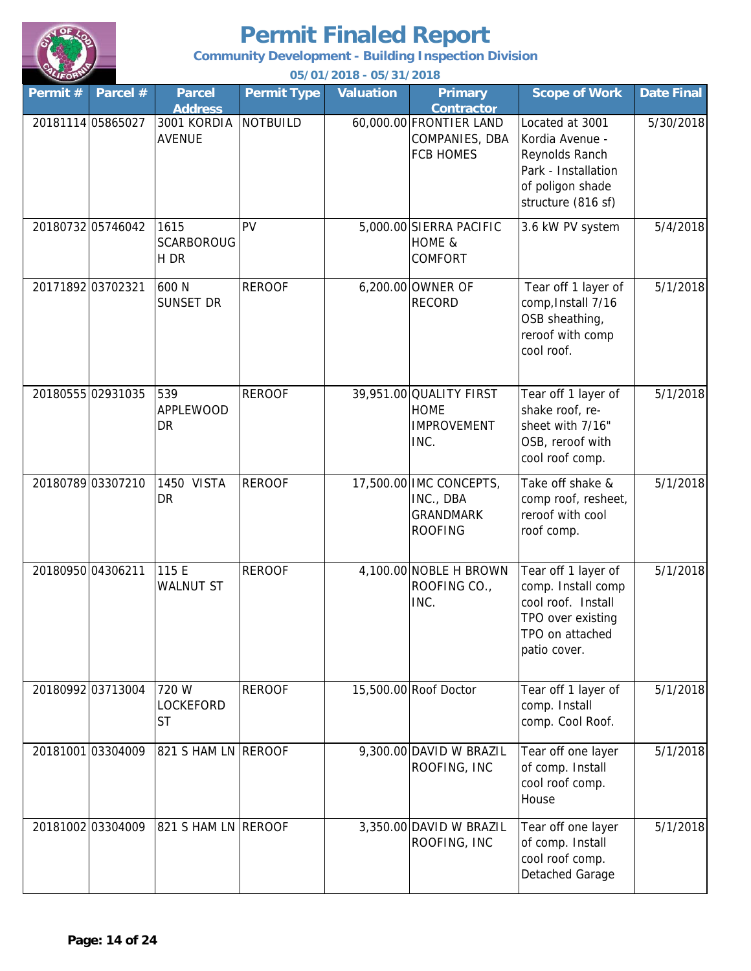

**Community Development - Building Inspection Division**

| Permit # | Parcel #          | <b>Parcel</b><br><b>Address</b>   | <b>Permit Type</b> | <b>Valuation</b> | <b>Primary</b><br><b>Contractor</b>                                        | <b>Scope of Work</b>                                                                                                    | <b>Date Final</b> |
|----------|-------------------|-----------------------------------|--------------------|------------------|----------------------------------------------------------------------------|-------------------------------------------------------------------------------------------------------------------------|-------------------|
|          | 20181114 05865027 | 3001 KORDIA<br><b>AVENUE</b>      | <b>NOTBUILD</b>    |                  | 60,000.00 FRONTIER LAND<br>COMPANIES, DBA<br><b>FCB HOMES</b>              | Located at 3001<br>Kordia Avenue -<br>Reynolds Ranch<br>Park - Installation<br>of poligon shade<br>structure (816 sf)   | 5/30/2018         |
|          | 20180732 05746042 | 1615<br><b>SCARBOROUG</b><br>H DR | PV                 |                  | 5,000.00 SIERRA PACIFIC<br>HOME &<br>COMFORT                               | 3.6 kW PV system                                                                                                        | 5/4/2018          |
|          | 20171892 03702321 | 600 N<br>SUNSET DR                | <b>REROOF</b>      |                  | 6,200.00 OWNER OF<br><b>RECORD</b>                                         | Tear off 1 layer of<br>comp, Install 7/16<br>OSB sheathing,<br>reroof with comp<br>cool roof.                           | 5/1/2018          |
|          | 20180555 02931035 | 539<br><b>APPLEWOOD</b><br>DR     | <b>REROOF</b>      |                  | 39,951.00 QUALITY FIRST<br><b>HOME</b><br><b>IMPROVEMENT</b><br>INC.       | Tear off 1 layer of<br>shake roof, re-<br>sheet with 7/16"<br>OSB, reroof with<br>cool roof comp.                       | 5/1/2018          |
|          | 20180789 03307210 | 1450 VISTA<br>DR                  | <b>REROOF</b>      |                  | 17,500.00 IMC CONCEPTS,<br>INC., DBA<br><b>GRANDMARK</b><br><b>ROOFING</b> | Take off shake &<br>comp roof, resheet,<br>reroof with cool<br>roof comp.                                               | 5/1/2018          |
|          | 20180950 04306211 | 115 E<br><b>WALNUT ST</b>         | <b>REROOF</b>      |                  | 4,100.00 NOBLE H BROWN<br>ROOFING CO.,<br>INC.                             | Tear off 1 layer of<br>comp. Install comp<br>cool roof. Install<br>TPO over existing<br>TPO on attached<br>patio cover. | 5/1/2018          |
|          | 20180992 03713004 | 720 W<br>LOCKEFORD<br>ST          | <b>REROOF</b>      |                  | 15,500.00 Roof Doctor                                                      | Tear off 1 layer of<br>comp. Install<br>comp. Cool Roof.                                                                | 5/1/2018          |
|          | 20181001 03304009 | 821 S HAM LN REROOF               |                    |                  | 9,300.00 DAVID W BRAZIL<br>ROOFING, INC                                    | Tear off one layer<br>of comp. Install<br>cool roof comp.<br>House                                                      | 5/1/2018          |
|          | 20181002 03304009 | 821 S HAM LN REROOF               |                    |                  | 3,350.00 DAVID W BRAZIL<br>ROOFING, INC                                    | Tear off one layer<br>of comp. Install<br>cool roof comp.<br>Detached Garage                                            | 5/1/2018          |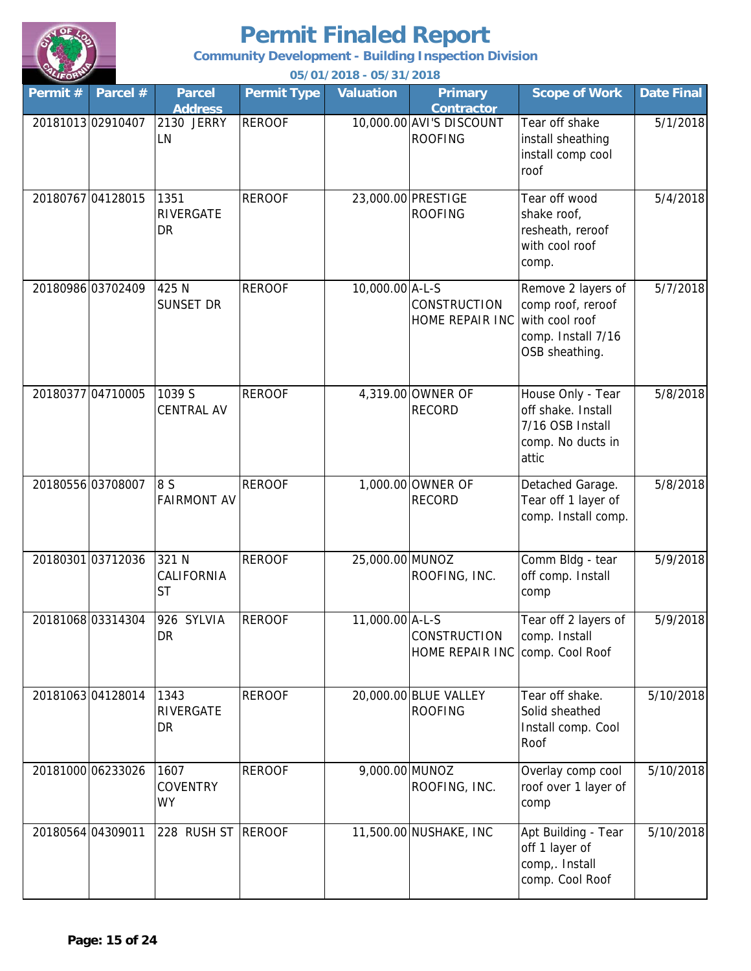

**Community Development - Building Inspection Division**

| Permit# | Parcel #          | <b>Parcel</b><br><b>Address</b>      | <b>Permit Type</b> | <b>Valuation</b> | <b>Primary</b><br><b>Contractor</b>        | <b>Scope of Work</b>                                                                              | <b>Date Final</b> |
|---------|-------------------|--------------------------------------|--------------------|------------------|--------------------------------------------|---------------------------------------------------------------------------------------------------|-------------------|
|         | 20181013 02910407 | 2130 JERRY<br>LN                     | <b>REROOF</b>      |                  | 10,000.00 AVI'S DISCOUNT<br><b>ROOFING</b> | Tear off shake<br>install sheathing<br>install comp cool<br>roof                                  | 5/1/2018          |
|         | 20180767 04128015 | 1351<br>RIVERGATE<br><b>DR</b>       | <b>REROOF</b>      |                  | 23,000.00 PRESTIGE<br><b>ROOFING</b>       | Tear off wood<br>shake roof,<br>resheath, reroof<br>with cool roof<br>comp.                       | 5/4/2018          |
|         | 20180986 03702409 | 425 N<br>SUNSET DR                   | <b>REROOF</b>      | 10,000.00 A-L-S  | <b>CONSTRUCTION</b><br>HOME REPAIR INC     | Remove 2 layers of<br>comp roof, reroof<br>with cool roof<br>comp. Install 7/16<br>OSB sheathing. | 5/7/2018          |
|         | 20180377 04710005 | 1039 S<br><b>CENTRAL AV</b>          | <b>REROOF</b>      |                  | 4,319.00 OWNER OF<br><b>RECORD</b>         | House Only - Tear<br>off shake. Install<br>7/16 OSB Install<br>comp. No ducts in<br>attic         | 5/8/2018          |
|         | 20180556 03708007 | 8 S<br><b>FAIRMONT AV</b>            | <b>REROOF</b>      |                  | 1,000.00 OWNER OF<br><b>RECORD</b>         | Detached Garage.<br>Tear off 1 layer of<br>comp. Install comp.                                    | 5/8/2018          |
|         | 20180301 03712036 | 321 N<br>CALIFORNIA<br><b>ST</b>     | <b>REROOF</b>      | 25,000.00 MUNOZ  | ROOFING, INC.                              | Comm Bldg - tear<br>off comp. Install<br>comp                                                     | 5/9/2018          |
|         | 20181068 03314304 | 926 SYLVIA<br>DR                     | <b>REROOF</b>      | 11,000.00 A-L-S  | CONSTRUCTION<br>HOME REPAIR INC            | Tear off 2 layers of<br>comp. Install<br>comp. Cool Roof                                          | 5/9/2018          |
|         | 2018106304128014  | 1343<br>RIVERGATE<br>DR              | <b>REROOF</b>      |                  | 20,000.00 BLUE VALLEY<br><b>ROOFING</b>    | Tear off shake.<br>Solid sheathed<br>Install comp. Cool<br>Roof                                   | 5/10/2018         |
|         | 20181000 06233026 | 1607<br><b>COVENTRY</b><br><b>WY</b> | <b>REROOF</b>      | 9,000.00 MUNOZ   | ROOFING, INC.                              | Overlay comp cool<br>roof over 1 layer of<br>comp                                                 | 5/10/2018         |
|         | 20180564 04309011 | 228 RUSH ST REROOF                   |                    |                  | 11,500.00 NUSHAKE, INC                     | Apt Building - Tear<br>off 1 layer of<br>comp,. Install<br>comp. Cool Roof                        | 5/10/2018         |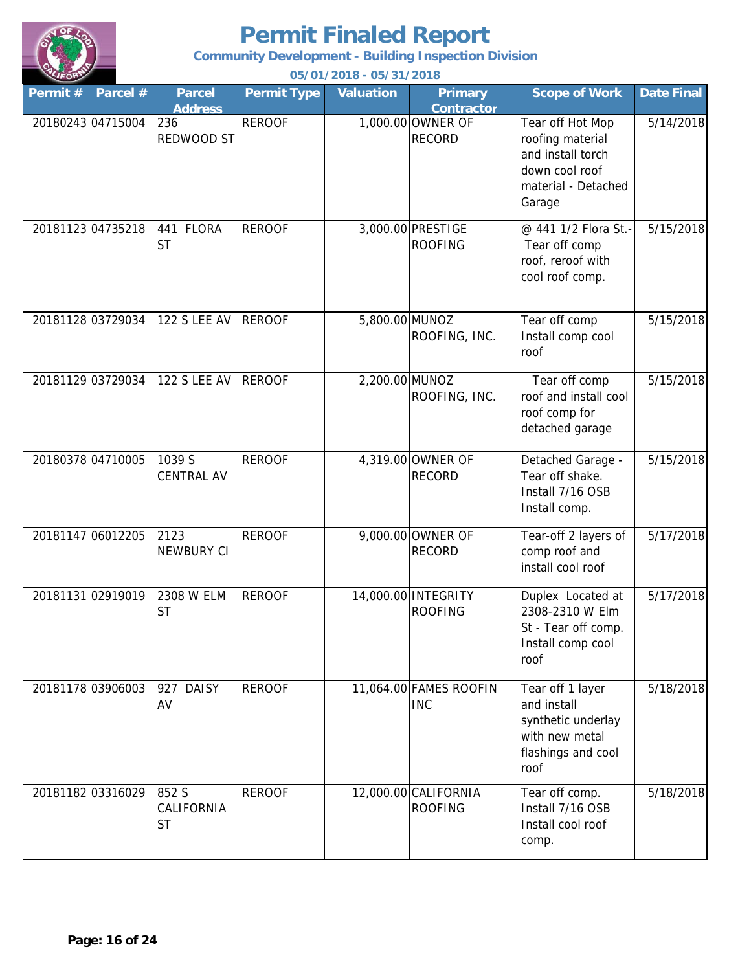

**Community Development - Building Inspection Division**

| Permit# | Parcel #          | <b>Parcel</b><br><b>Address</b>  | <b>Permit Type</b> | Valuation      | <b>Primary</b><br><b>Contractor</b>    | <b>Scope of Work</b>                                                                                         | <b>Date Final</b> |
|---------|-------------------|----------------------------------|--------------------|----------------|----------------------------------------|--------------------------------------------------------------------------------------------------------------|-------------------|
|         | 2018024304715004  | 236<br>REDWOOD ST                | <b>REROOF</b>      |                | 1,000.00 OWNER OF<br><b>RECORD</b>     | Tear off Hot Mop<br>roofing material<br>and install torch<br>down cool roof<br>material - Detached<br>Garage | 5/14/2018         |
|         | 20181123 04735218 | 441 FLORA<br><b>ST</b>           | <b>REROOF</b>      |                | 3,000.00 PRESTIGE<br><b>ROOFING</b>    | @ 441 1/2 Flora St.-<br>Tear off comp<br>roof, reroof with<br>cool roof comp.                                | 5/15/2018         |
|         | 20181128 03729034 | <b>122 S LEE AV</b>              | <b>REROOF</b>      | 5,800.00 MUNOZ | ROOFING, INC.                          | Tear off comp<br>Install comp cool<br>roof                                                                   | 5/15/2018         |
|         | 20181129 03729034 | <b>122 S LEE AV</b>              | <b>REROOF</b>      | 2,200.00 MUNOZ | ROOFING, INC.                          | Tear off comp<br>roof and install cool<br>roof comp for<br>detached garage                                   | 5/15/2018         |
|         | 20180378 04710005 | 1039 S<br><b>CENTRAL AV</b>      | <b>REROOF</b>      |                | 4,319.00 OWNER OF<br><b>RECORD</b>     | Detached Garage -<br>Tear off shake.<br>Install 7/16 OSB<br>Install comp.                                    | 5/15/2018         |
|         | 20181147 06012205 | 2123<br><b>NEWBURY CI</b>        | <b>REROOF</b>      |                | 9,000.00 OWNER OF<br><b>RECORD</b>     | Tear-off 2 layers of<br>comp roof and<br>install cool roof                                                   | 5/17/2018         |
|         | 20181131 02919019 | 2308 W ELM<br><b>ST</b>          | <b>REROOF</b>      |                | 14,000.00 INTEGRITY<br><b>ROOFING</b>  | Duplex Located at<br>2308-2310 W Elm<br>St - Tear off comp.<br>Install comp cool<br>roof                     | 5/17/2018         |
|         | 20181178 03906003 | <b>DAISY</b><br>927<br>AV        | <b>REROOF</b>      |                | 11,064.00 FAMES ROOFIN<br><b>INC</b>   | Tear off 1 layer<br>and install<br>synthetic underlay<br>with new metal<br>flashings and cool<br>roof        | 5/18/2018         |
|         | 20181182 03316029 | 852 S<br>CALIFORNIA<br><b>ST</b> | <b>REROOF</b>      |                | 12,000.00 CALIFORNIA<br><b>ROOFING</b> | Tear off comp.<br>Install 7/16 OSB<br>Install cool roof<br>comp.                                             | 5/18/2018         |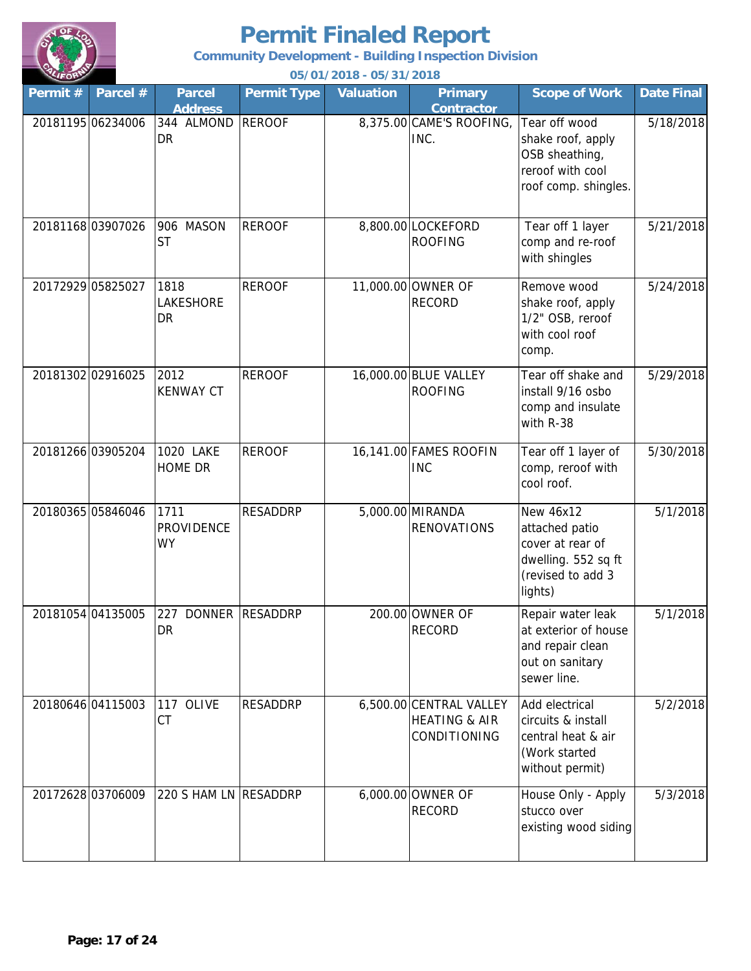

**Community Development - Building Inspection Division**

| Permit# | Parcel #          | <b>Parcel</b><br><b>Address</b>        | <b>Permit Type</b> | <b>Valuation</b> | <b>Primary</b><br><b>Contractor</b>                                 | <b>Scope of Work</b>                                                                                   | <b>Date Final</b> |
|---------|-------------------|----------------------------------------|--------------------|------------------|---------------------------------------------------------------------|--------------------------------------------------------------------------------------------------------|-------------------|
|         | 20181195 06234006 | 344 ALMOND<br><b>DR</b>                | <b>REROOF</b>      |                  | 8,375.00 CAME'S ROOFING,<br>INC.                                    | Tear off wood<br>shake roof, apply<br>OSB sheathing,<br>reroof with cool<br>roof comp. shingles.       | 5/18/2018         |
|         | 20181168 03907026 | 906 MASON<br><b>ST</b>                 | <b>REROOF</b>      |                  | 8,800.00 LOCKEFORD<br><b>ROOFING</b>                                | Tear off 1 layer<br>comp and re-roof<br>with shingles                                                  | 5/21/2018         |
|         | 20172929 05825027 | 1818<br>LAKESHORE<br>DR                | <b>REROOF</b>      |                  | 11,000.00 OWNER OF<br><b>RECORD</b>                                 | Remove wood<br>shake roof, apply<br>1/2" OSB, reroof<br>with cool roof<br>comp.                        | 5/24/2018         |
|         | 20181302 02916025 | 2012<br><b>KENWAY CT</b>               | <b>REROOF</b>      |                  | 16,000.00 BLUE VALLEY<br><b>ROOFING</b>                             | Tear off shake and<br>install 9/16 osbo<br>comp and insulate<br>with R-38                              | 5/29/2018         |
|         | 20181266 03905204 | 1020 LAKE<br><b>HOME DR</b>            | <b>REROOF</b>      |                  | 16,141.00 FAMES ROOFIN<br><b>INC</b>                                | Tear off 1 layer of<br>comp, reroof with<br>cool roof.                                                 | 5/30/2018         |
|         | 20180365 05846046 | 1711<br><b>PROVIDENCE</b><br><b>WY</b> | <b>RESADDRP</b>    |                  | 5,000.00 MIRANDA<br><b>RENOVATIONS</b>                              | New 46x12<br>attached patio<br>cover at rear of<br>dwelling. 552 sq ft<br>(revised to add 3<br>lights) | 5/1/2018          |
|         | 20181054 04135005 | 227<br>DR                              | DONNER RESADDRP    |                  | 200.00 OWNER OF<br><b>RECORD</b>                                    | Repair water leak<br>at exterior of house<br>and repair clean<br>out on sanitary<br>sewer line.        | 5/1/2018          |
|         | 20180646 04115003 | 117 OLIVE<br>CT                        | <b>RESADDRP</b>    |                  | 6,500.00 CENTRAL VALLEY<br><b>HEATING &amp; AIR</b><br>CONDITIONING | Add electrical<br>circuits & install<br>central heat & air<br>(Work started<br>without permit)         | 5/2/2018          |
|         | 20172628 03706009 | 220 S HAM LN RESADDRP                  |                    |                  | 6,000.00 OWNER OF<br><b>RECORD</b>                                  | House Only - Apply<br>stucco over<br>existing wood siding                                              | 5/3/2018          |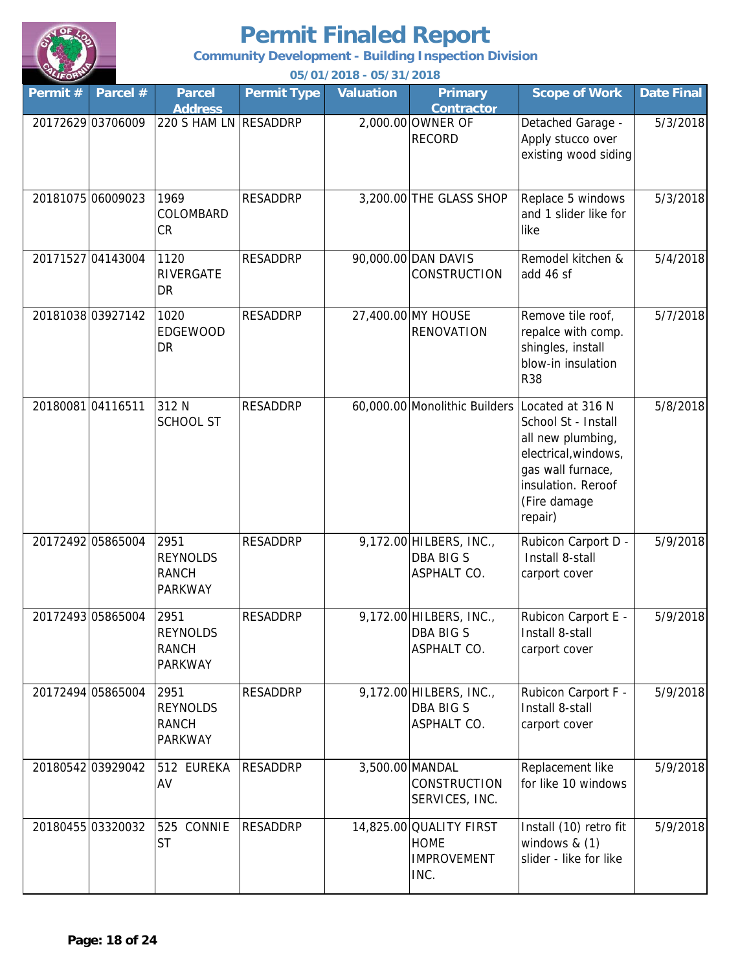

**Community Development - Building Inspection Division**

| Permit# | Parcel #          | <b>Parcel</b><br><b>Address</b>                           | <b>Permit Type</b> | Valuation | <b>Primary</b><br><b>Contractor</b>                                  | <b>Scope of Work</b>                                                                                                                                       | <b>Date Final</b> |
|---------|-------------------|-----------------------------------------------------------|--------------------|-----------|----------------------------------------------------------------------|------------------------------------------------------------------------------------------------------------------------------------------------------------|-------------------|
|         | 20172629 03706009 | 220 S HAM LN RESADDRP                                     |                    |           | 2,000.00 OWNER OF<br><b>RECORD</b>                                   | Detached Garage -<br>Apply stucco over<br>existing wood siding                                                                                             | 5/3/2018          |
|         | 20181075 06009023 | 1969<br>COLOMBARD<br>CR                                   | <b>RESADDRP</b>    |           | 3,200.00 THE GLASS SHOP                                              | Replace 5 windows<br>and 1 slider like for<br>like                                                                                                         | 5/3/2018          |
|         | 20171527 04143004 | 1120<br>RIVERGATE<br>DR                                   | <b>RESADDRP</b>    |           | 90,000.00 DAN DAVIS<br>CONSTRUCTION                                  | Remodel kitchen &<br>add 46 sf                                                                                                                             | 5/4/2018          |
|         | 20181038 03927142 | 1020<br><b>EDGEWOOD</b><br><b>DR</b>                      | <b>RESADDRP</b>    |           | 27,400.00 MY HOUSE<br><b>RENOVATION</b>                              | Remove tile roof,<br>repalce with comp.<br>shingles, install<br>blow-in insulation<br><b>R38</b>                                                           | 5/7/2018          |
|         | 2018008104116511  | 312 N<br><b>SCHOOL ST</b>                                 | <b>RESADDRP</b>    |           | 60,000.00 Monolithic Builders                                        | Located at 316 N<br>School St - Install<br>all new plumbing,<br>electrical, windows,<br>gas wall furnace,<br>insulation. Reroof<br>(Fire damage<br>repair) | 5/8/2018          |
|         | 20172492 05865004 | 2951<br><b>REYNOLDS</b><br><b>RANCH</b><br><b>PARKWAY</b> | <b>RESADDRP</b>    |           | 9,172.00 HILBERS, INC.,<br><b>DBA BIG S</b><br>ASPHALT CO.           | Rubicon Carport D -<br>Install 8-stall<br>carport cover                                                                                                    | 5/9/2018          |
|         | 20172493 05865004 | 2951<br><b>REYNOLDS</b><br><b>RANCH</b><br><b>PARKWAY</b> | <b>RESADDRP</b>    |           | 9,172.00 HILBERS, INC.,<br>DBA BIG S<br>ASPHALT CO.                  | Rubicon Carport E -<br>Install 8-stall<br>carport cover                                                                                                    | 5/9/2018          |
|         | 20172494 05865004 | 2951<br><b>REYNOLDS</b><br><b>RANCH</b><br><b>PARKWAY</b> | <b>RESADDRP</b>    |           | 9,172.00 HILBERS, INC.,<br><b>DBA BIG S</b><br>ASPHALT CO.           | Rubicon Carport F -<br>Install 8-stall<br>carport cover                                                                                                    | 5/9/2018          |
|         | 20180542 03929042 | 512 EUREKA<br>AV                                          | <b>RESADDRP</b>    |           | 3,500.00 MANDAL<br><b>CONSTRUCTION</b><br>SERVICES, INC.             | Replacement like<br>for like 10 windows                                                                                                                    | 5/9/2018          |
|         | 20180455 03320032 | 525 CONNIE<br>ST                                          | <b>RESADDRP</b>    |           | 14,825.00 QUALITY FIRST<br><b>HOME</b><br><b>IMPROVEMENT</b><br>INC. | Install (10) retro fit<br>windows $& (1)$<br>slider - like for like                                                                                        | 5/9/2018          |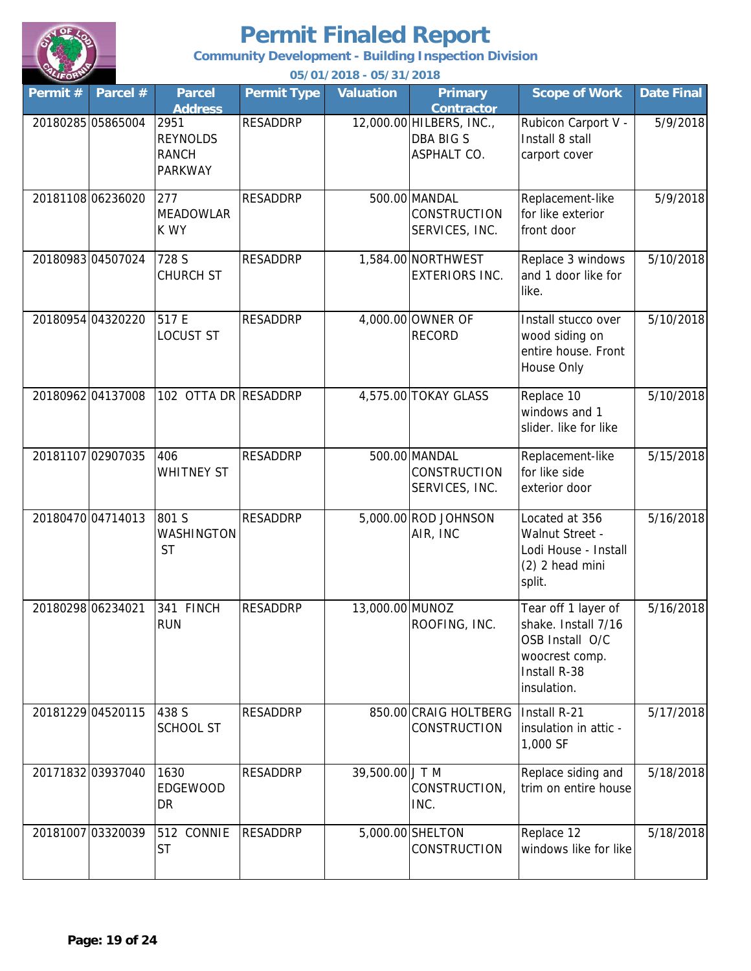

**Community Development - Building Inspection Division**

| Permit # | Parcel #          | <b>Parcel</b><br><b>Address</b>                           | <b>Permit Type</b> | <b>Valuation</b> | <b>Primary</b><br><b>Contractor</b>                         | <b>Scope of Work</b>                                                                                           | <b>Date Final</b> |
|----------|-------------------|-----------------------------------------------------------|--------------------|------------------|-------------------------------------------------------------|----------------------------------------------------------------------------------------------------------------|-------------------|
|          | 20180285 05865004 | 2951<br><b>REYNOLDS</b><br><b>RANCH</b><br><b>PARKWAY</b> | <b>RESADDRP</b>    |                  | 12,000.00 HILBERS, INC.,<br><b>DBA BIG S</b><br>ASPHALT CO. | Rubicon Carport V -<br>Install 8 stall<br>carport cover                                                        | 5/9/2018          |
|          | 20181108 06236020 | 277<br><b>MEADOWLAR</b><br>K WY                           | <b>RESADDRP</b>    |                  | 500.00 MANDAL<br><b>CONSTRUCTION</b><br>SERVICES, INC.      | Replacement-like<br>for like exterior<br>front door                                                            | 5/9/2018          |
|          | 20180983 04507024 | 728 S<br><b>CHURCH ST</b>                                 | <b>RESADDRP</b>    |                  | 1,584.00 NORTHWEST<br><b>EXTERIORS INC.</b>                 | Replace 3 windows<br>and 1 door like for<br>like.                                                              | 5/10/2018         |
|          | 20180954 04320220 | 517 E<br><b>LOCUST ST</b>                                 | <b>RESADDRP</b>    |                  | 4,000.00 OWNER OF<br><b>RECORD</b>                          | Install stucco over<br>wood siding on<br>entire house. Front<br>House Only                                     | 5/10/2018         |
|          | 20180962 04137008 | 102 OTTA DR RESADDRP                                      |                    |                  | 4,575.00 TOKAY GLASS                                        | Replace 10<br>windows and 1<br>slider. like for like                                                           | 5/10/2018         |
|          | 20181107 02907035 | 406<br><b>WHITNEY ST</b>                                  | <b>RESADDRP</b>    |                  | 500.00 MANDAL<br><b>CONSTRUCTION</b><br>SERVICES, INC.      | Replacement-like<br>for like side<br>exterior door                                                             | 5/15/2018         |
|          | 20180470 04714013 | 801 S<br>WASHINGTON<br><b>ST</b>                          | <b>RESADDRP</b>    |                  | 5,000.00 ROD JOHNSON<br>AIR, INC                            | Located at 356<br>Walnut Street -<br>Lodi House - Install<br>(2) 2 head mini<br>split.                         | 5/16/2018         |
|          | 20180298 06234021 | 341 FINCH<br><b>RUN</b>                                   | <b>RESADDRP</b>    | 13,000.00 MUNOZ  | ROOFING, INC.                                               | Tear off 1 layer of<br>shake. Install 7/16<br>OSB Install O/C<br>woocrest comp.<br>Install R-38<br>insulation. | 5/16/2018         |
|          | 20181229 04520115 | 438 S<br><b>SCHOOL ST</b>                                 | <b>RESADDRP</b>    |                  | 850.00 CRAIG HOLTBERG<br><b>CONSTRUCTION</b>                | Install R-21<br>insulation in attic -<br>1,000 SF                                                              | 5/17/2018         |
|          | 20171832 03937040 | 1630<br><b>EDGEWOOD</b><br>DR                             | <b>RESADDRP</b>    | 39,500.00 J T M  | CONSTRUCTION,<br>INC.                                       | Replace siding and<br>trim on entire house                                                                     | 5/18/2018         |
|          | 20181007 03320039 | 512 CONNIE<br><b>ST</b>                                   | <b>RESADDRP</b>    |                  | 5,000.00 SHELTON<br><b>CONSTRUCTION</b>                     | Replace 12<br>windows like for like                                                                            | 5/18/2018         |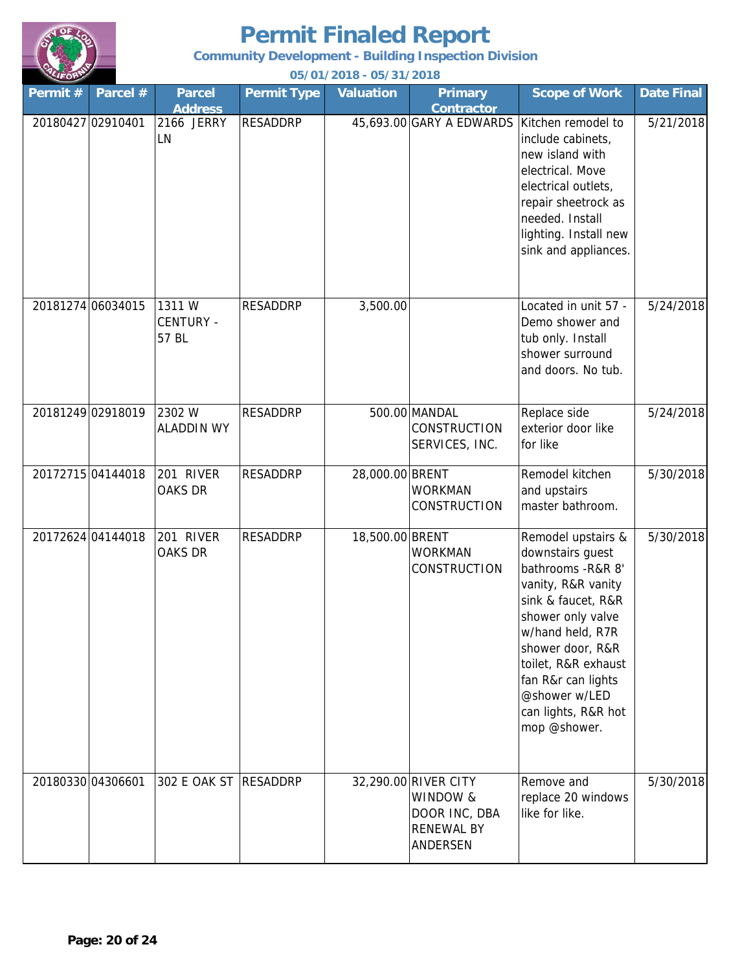

**Community Development - Building Inspection Division**

| Permit# | Parcel #          | <b>Parcel</b><br><b>Address</b>     | <b>Permit Type</b> | <b>Valuation</b> | <b>Primary</b><br><b>Contractor</b>                                                | <b>Scope of Work</b>                                                                                                                                                                                                                                                       | <b>Date Final</b> |
|---------|-------------------|-------------------------------------|--------------------|------------------|------------------------------------------------------------------------------------|----------------------------------------------------------------------------------------------------------------------------------------------------------------------------------------------------------------------------------------------------------------------------|-------------------|
|         | 20180427 02910401 | 2166 JERRY<br>LN                    | <b>RESADDRP</b>    |                  | 45,693.00 GARY A EDWARDS                                                           | Kitchen remodel to<br>include cabinets,<br>new island with<br>electrical. Move<br>electrical outlets,<br>repair sheetrock as<br>needed. Install<br>lighting. Install new<br>sink and appliances.                                                                           | 5/21/2018         |
|         | 20181274 06034015 | 1311 W<br><b>CENTURY -</b><br>57 BL | <b>RESADDRP</b>    | 3,500.00         |                                                                                    | Located in unit 57 -<br>Demo shower and<br>tub only. Install<br>shower surround<br>and doors. No tub.                                                                                                                                                                      | 5/24/2018         |
|         | 20181249 02918019 | 2302 W<br><b>ALADDIN WY</b>         | <b>RESADDRP</b>    |                  | 500.00 MANDAL<br><b>CONSTRUCTION</b><br>SERVICES, INC.                             | Replace side<br>exterior door like<br>for like                                                                                                                                                                                                                             | 5/24/2018         |
|         | 20172715 04144018 | 201 RIVER<br><b>OAKS DR</b>         | <b>RESADDRP</b>    | 28,000.00 BRENT  | <b>WORKMAN</b><br>CONSTRUCTION                                                     | Remodel kitchen<br>and upstairs<br>master bathroom.                                                                                                                                                                                                                        | 5/30/2018         |
|         | 20172624 04144018 | 201 RIVER<br>OAKS DR                | <b>RESADDRP</b>    | 18,500.00 BRENT  | <b>WORKMAN</b><br>CONSTRUCTION                                                     | Remodel upstairs &<br>downstairs guest<br>bathrooms - R&R 8'<br>vanity, R&R vanity<br>sink & faucet, R&R<br>shower only valve<br>w/hand held, R7R<br>shower door, R&R<br>toilet, R&R exhaust<br>fan R&r can lights<br>@shower w/LED<br>can lights, R&R hot<br>mop @shower. | 5/30/2018         |
|         | 20180330 04306601 | 302 E OAK ST RESADDRP               |                    |                  | 32,290.00 RIVER CITY<br>WINDOW &<br>DOOR INC, DBA<br><b>RENEWAL BY</b><br>ANDERSEN | Remove and<br>replace 20 windows<br>like for like.                                                                                                                                                                                                                         | 5/30/2018         |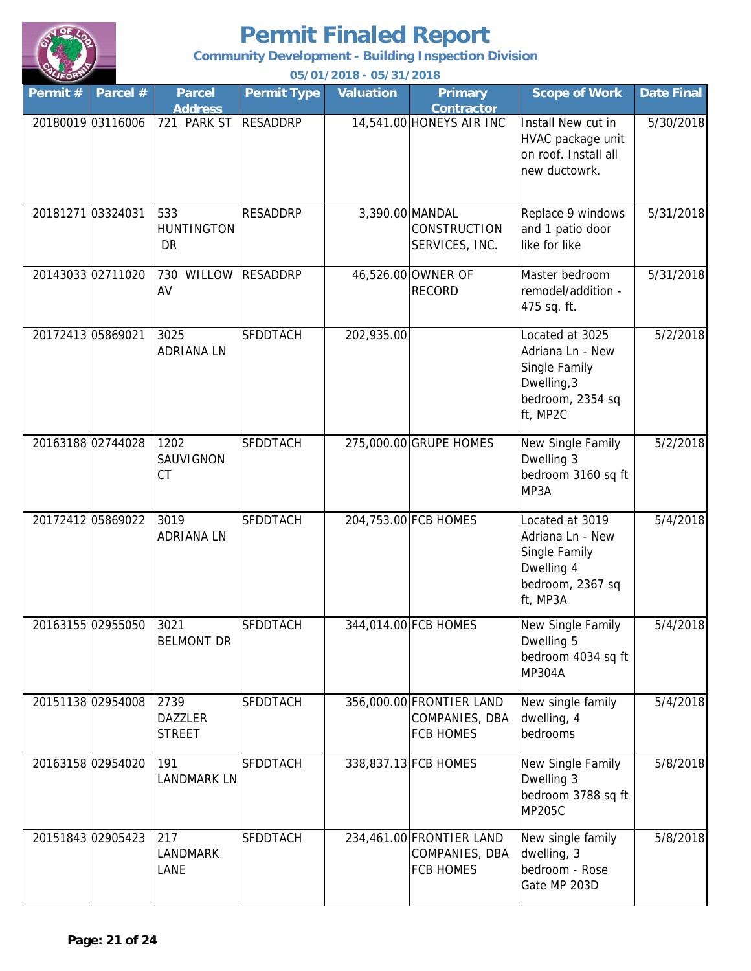

**Community Development - Building Inspection Division**

| Permit # | Parcel #          | <b>Parcel</b><br><b>Address</b>         | <b>Permit Type</b> | <b>Valuation</b> | <b>Primary</b><br><b>Contractor</b>                            | <b>Scope of Work</b>                                                                                | <b>Date Final</b> |
|----------|-------------------|-----------------------------------------|--------------------|------------------|----------------------------------------------------------------|-----------------------------------------------------------------------------------------------------|-------------------|
|          | 20180019 03116006 | 721 PARK ST                             | <b>RESADDRP</b>    |                  | 14,541.00 HONEYS AIR INC                                       | Install New cut in<br>HVAC package unit<br>on roof. Install all<br>new ductowrk.                    | 5/30/2018         |
|          | 20181271 03324031 | 533<br><b>HUNTINGTON</b><br><b>DR</b>   | <b>RESADDRP</b>    |                  | 3,390.00 MANDAL<br><b>CONSTRUCTION</b><br>SERVICES, INC.       | Replace 9 windows<br>and 1 patio door<br>like for like                                              | 5/31/2018         |
|          | 2014303302711020  | 730 WILLOW<br>AV                        | <b>RESADDRP</b>    |                  | 46,526.00 OWNER OF<br><b>RECORD</b>                            | Master bedroom<br>remodel/addition -<br>475 sq. ft.                                                 | 5/31/2018         |
|          | 20172413 05869021 | 3025<br><b>ADRIANALN</b>                | <b>SFDDTACH</b>    | 202,935.00       |                                                                | Located at 3025<br>Adriana Ln - New<br>Single Family<br>Dwelling, 3<br>bedroom, 2354 sq<br>ft, MP2C | 5/2/2018          |
|          | 2016318802744028  | 1202<br>SAUVIGNON<br>СT                 | <b>SFDDTACH</b>    |                  | 275,000.00 GRUPE HOMES                                         | New Single Family<br>Dwelling 3<br>bedroom 3160 sq ft<br>MP3A                                       | 5/2/2018          |
|          | 20172412 05869022 | 3019<br><b>ADRIANALN</b>                | <b>SFDDTACH</b>    |                  | 204,753.00 FCB HOMES                                           | Located at 3019<br>Adriana Ln - New<br>Single Family<br>Dwelling 4<br>bedroom, 2367 sq<br>ft, MP3A  | 5/4/2018          |
|          | 20163155 02955050 | 3021<br><b>BELMONT DR</b>               | <b>SFDDTACH</b>    |                  | 344,014.00 FCB HOMES                                           | New Single Family<br>Dwelling 5<br>bedroom 4034 sq ft<br><b>MP304A</b>                              | 5/4/2018          |
|          | 20151138 02954008 | 2739<br><b>DAZZLER</b><br><b>STREET</b> | <b>SFDDTACH</b>    |                  | 356,000.00 FRONTIER LAND<br>COMPANIES, DBA<br><b>FCB HOMES</b> | New single family<br>dwelling, 4<br>bedrooms                                                        | 5/4/2018          |
|          | 20163158 02954020 | 191<br>Landmark LN                      | <b>SFDDTACH</b>    |                  | 338,837.13 FCB HOMES                                           | New Single Family<br>Dwelling 3<br>bedroom 3788 sq ft<br><b>MP205C</b>                              | 5/8/2018          |
|          | 20151843 02905423 | 217<br>LANDMARK<br>LANE                 | <b>SFDDTACH</b>    |                  | 234,461.00 FRONTIER LAND<br>COMPANIES, DBA<br><b>FCB HOMES</b> | New single family<br>dwelling, 3<br>bedroom - Rose<br>Gate MP 203D                                  | 5/8/2018          |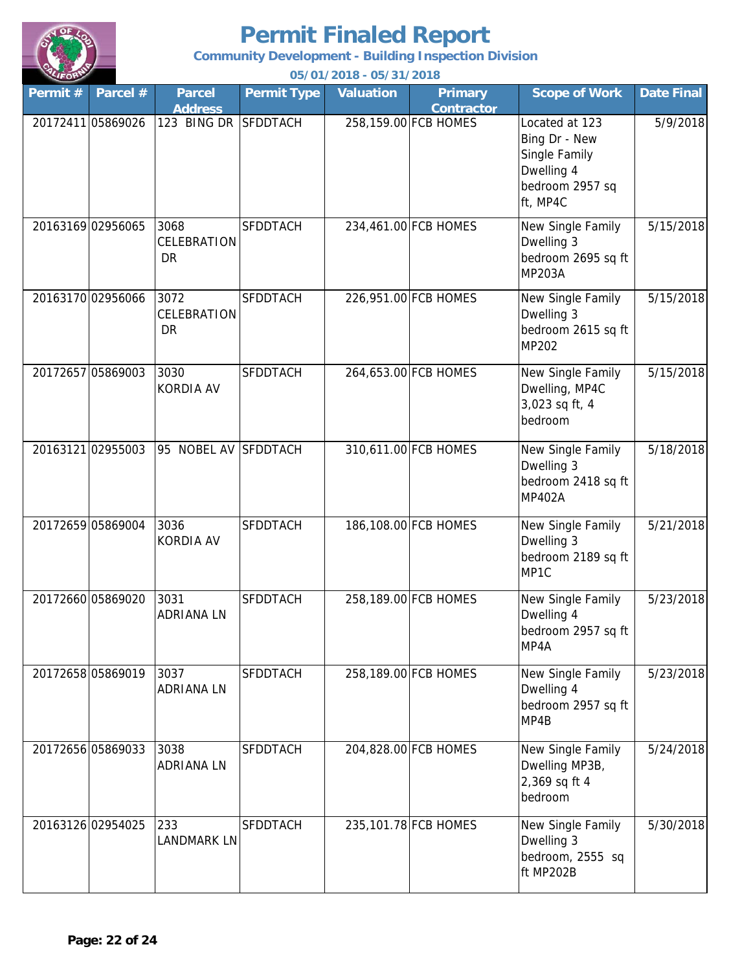

**Community Development - Building Inspection Division**

| Permit # | Parcel #          | <b>Parcel</b><br><b>Address</b>  | <b>Permit Type</b> | <b>Valuation</b> | <b>Primary</b><br><b>Contractor</b> | <b>Scope of Work</b>                                                                          | <b>Date Final</b> |
|----------|-------------------|----------------------------------|--------------------|------------------|-------------------------------------|-----------------------------------------------------------------------------------------------|-------------------|
|          | 2017241105869026  | 123 BING DR SFDDTACH             |                    |                  | 258,159.00 FCB HOMES                | Located at 123<br>Bing Dr - New<br>Single Family<br>Dwelling 4<br>bedroom 2957 sq<br>ft, MP4C | 5/9/2018          |
|          | 20163169 02956065 | 3068<br>CELEBRATION<br><b>DR</b> | <b>SFDDTACH</b>    |                  | 234,461.00 FCB HOMES                | New Single Family<br>Dwelling 3<br>bedroom 2695 sq ft<br><b>MP203A</b>                        | 5/15/2018         |
|          | 20163170 02956066 | 3072<br>CELEBRATION<br><b>DR</b> | <b>SFDDTACH</b>    |                  | 226,951.00 FCB HOMES                | New Single Family<br>Dwelling 3<br>bedroom 2615 sq ft<br><b>MP202</b>                         | 5/15/2018         |
|          | 20172657 05869003 | 3030<br><b>KORDIA AV</b>         | <b>SFDDTACH</b>    |                  | 264,653.00 FCB HOMES                | New Single Family<br>Dwelling, MP4C<br>3,023 sq ft, 4<br>bedroom                              | 5/15/2018         |
|          | 20163121 02955003 | 95 NOBEL AV SFDDTACH             |                    |                  | 310,611.00 FCB HOMES                | New Single Family<br>Dwelling 3<br>bedroom 2418 sq ft<br><b>MP402A</b>                        | 5/18/2018         |
|          | 20172659 05869004 | 3036<br><b>KORDIA AV</b>         | <b>SFDDTACH</b>    |                  | 186,108.00 FCB HOMES                | New Single Family<br>Dwelling 3<br>bedroom 2189 sq ft<br>MP1C                                 | 5/21/2018         |
|          | 20172660 05869020 | 3031<br><b>ADRIANA LN</b>        | <b>SFDDTACH</b>    |                  | 258,189.00 FCB HOMES                | New Single Family<br>Dwelling 4<br>bedroom 2957 sq ft<br>MP4A                                 | 5/23/2018         |
|          | 20172658 05869019 | 3037<br>ADRIANA LN               | <b>SFDDTACH</b>    |                  | 258,189.00 FCB HOMES                | New Single Family<br>Dwelling 4<br>bedroom 2957 sq ft<br>MP4B                                 | 5/23/2018         |
|          | 20172656 05869033 | 3038<br>ADRIANA LN               | <b>SFDDTACH</b>    |                  | 204,828.00 FCB HOMES                | New Single Family<br>Dwelling MP3B,<br>2,369 sq ft 4<br>bedroom                               | 5/24/2018         |
|          | 20163126 02954025 | 233<br>LANDMARK LN               | <b>SFDDTACH</b>    |                  | 235,101.78 FCB HOMES                | New Single Family<br>Dwelling 3<br>bedroom, 2555 sq<br>ft MP202B                              | 5/30/2018         |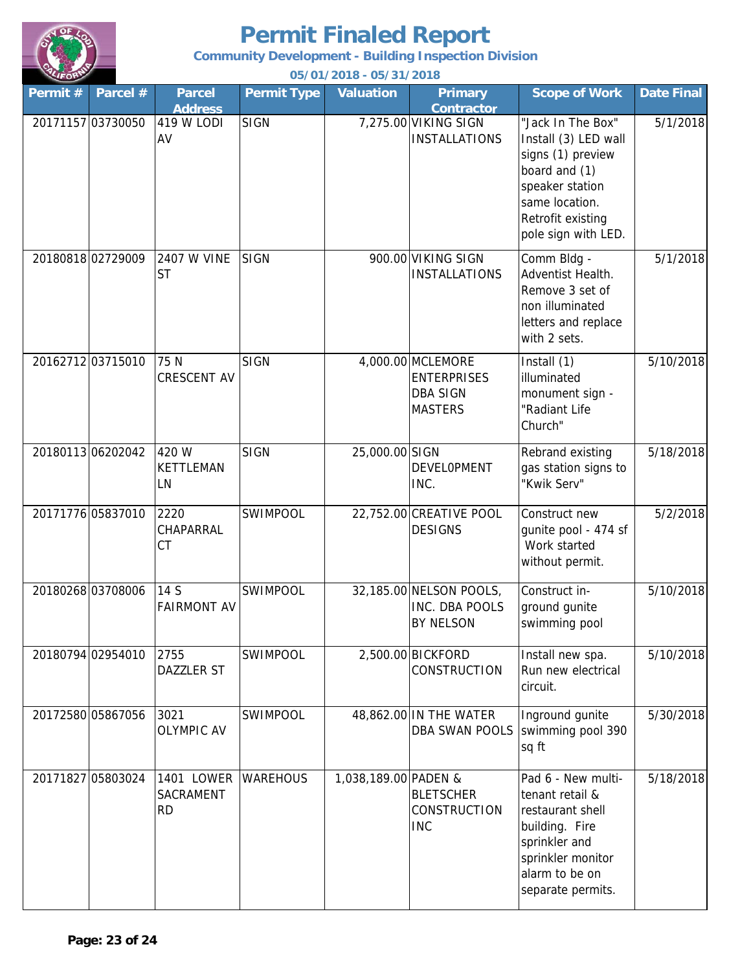

**Community Development - Building Inspection Division**

| Permit# | Parcel #          | <b>Parcel</b><br><b>Address</b>      | <b>Permit Type</b> | <b>Valuation</b>     | <b>Primary</b><br><b>Contractor</b>                                          | <b>Scope of Work</b>                                                                                                                                             | <b>Date Final</b> |
|---------|-------------------|--------------------------------------|--------------------|----------------------|------------------------------------------------------------------------------|------------------------------------------------------------------------------------------------------------------------------------------------------------------|-------------------|
|         | 20171157 03730050 | 419 W LODI<br>AV                     | <b>SIGN</b>        |                      | 7,275.00 VIKING SIGN<br><b>INSTALLATIONS</b>                                 | "Jack In The Box"<br>Install (3) LED wall<br>signs (1) preview<br>board and (1)<br>speaker station<br>same location.<br>Retrofit existing<br>pole sign with LED. | 5/1/2018          |
|         | 20180818 02729009 | 2407 W VINE<br><b>ST</b>             | <b>SIGN</b>        |                      | 900.00 VIKING SIGN<br><b>INSTALLATIONS</b>                                   | Comm Bldg -<br>Adventist Health.<br>Remove 3 set of<br>non illuminated<br>letters and replace<br>with 2 sets.                                                    | 5/1/2018          |
|         | 20162712 03715010 | 75 N<br><b>CRESCENT AV</b>           | <b>SIGN</b>        |                      | 4,000.00 MCLEMORE<br><b>ENTERPRISES</b><br><b>DBA SIGN</b><br><b>MASTERS</b> | Install (1)<br>illuminated<br>monument sign -<br>"Radiant Life<br>Church"                                                                                        | 5/10/2018         |
|         | 2018011306202042  | 420 W<br>KETTLEMAN<br>LN             | <b>SIGN</b>        | 25,000.00 SIGN       | <b>DEVELOPMENT</b><br>INC.                                                   | Rebrand existing<br>gas station signs to<br>"Kwik Serv"                                                                                                          | 5/18/2018         |
|         | 20171776 05837010 | 2220<br>CHAPARRAL<br>СT              | <b>SWIMPOOL</b>    |                      | 22,752.00 CREATIVE POOL<br><b>DESIGNS</b>                                    | Construct new<br>gunite pool - 474 sf<br>Work started<br>without permit.                                                                                         | 5/2/2018          |
|         | 20180268 03708006 | 14 S<br><b>FAIRMONT AV</b>           | <b>SWIMPOOL</b>    |                      | 32,185.00 NELSON POOLS,<br>INC. DBA POOLS<br><b>BY NELSON</b>                | Construct in-<br>ground gunite<br>swimming pool                                                                                                                  | 5/10/2018         |
|         | 20180794 02954010 | 2755<br>DAZZLER ST                   | <b>SWIMPOOL</b>    |                      | 2,500.00 BICKFORD<br><b>CONSTRUCTION</b>                                     | Install new spa.<br>Run new electrical<br>circuit.                                                                                                               | 5/10/2018         |
|         | 20172580 05867056 | 3021<br><b>OLYMPIC AV</b>            | <b>SWIMPOOL</b>    |                      | 48,862.00 IN THE WATER<br>DBA SWAN POOLS                                     | Inground gunite<br>swimming pool 390<br>sq ft                                                                                                                    | 5/30/2018         |
|         | 20171827 05803024 | <b>1401 LOWER</b><br>SACRAMENT<br>RD | <b>WAREHOUS</b>    | 1,038,189.00 PADEN & | <b>BLETSCHER</b><br>CONSTRUCTION<br><b>INC</b>                               | Pad 6 - New multi-<br>tenant retail &<br>restaurant shell<br>building. Fire<br>sprinkler and<br>sprinkler monitor<br>alarm to be on<br>separate permits.         | 5/18/2018         |